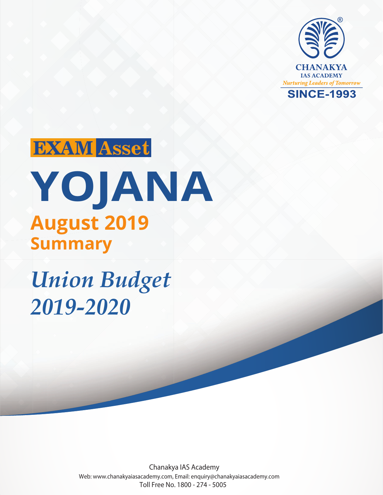

# **EXAM** Asset



*Union Budget 2019-2020*

> Chanakya IAS Academy Web: www.chanakyaiasacademy.com, Email: enquiry@chanakyaiasacademy.com Toll Free No. 1800 - 274 - 5005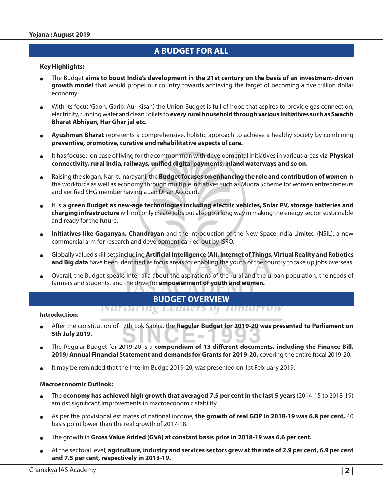## **A BUDGET FOR ALL**

#### **Key Highlights:**

- The Budget aims to boost India's development in the 21st century on the basis of an investment-driven **growth model** that would propel our country towards achieving the target of becoming a five trillion dollar economy.
- With its focus 'Gaon, Garib, Aur Kisan', the Union Budget is full of hope that aspires to provide gas connection, electricity, running water and clean Toilets to **every rural household through various initiatives such as Swachh Bharat Abhiyan, Har Ghar jal etc.**
- <sup>O</sup> **Ayushman Bharat** represents a comprehensive, holistic approach to achieve a healthy society by combining **preventive, promotive, curative and rehabilitative aspects of care.**
- It has focused on ease of living for the common man with developmental initiatives in various areas viz. **Physical connectivity, rural India, railways, unified digital payments, inland waterways and so on.**
- <sup>O</sup> Raising the slogan, Nari tu narayani, the **Budget focuses on enhancing the role and contribution of women** in the workforce as well as economy through multiple initiatives such as Mudra Scheme for women entrepreneurs and verified SHG member having a Jan Dhan Account.
- It is a green Budget as new-age technologies including electric vehicles, Solar PV, storage batteries and **charging infrastructure** will not only create jobs but also go a long way in making the energy sector sustainable and ready for the future.
- **Initiatives like Gaganyan, Chandrayan** and the introduction of the New Space India Limited (NSIL), a new commercial arm for research and development carried out by ISRO.
- Globally valued skill-sets including Artificial Intelligence (AI), Internet of Things, Virtual Reality and Robotics **and Big data** have been identified as focus areas for enabling the youth of the country to take up jobs overseas.
- <sup>O</sup> Overall, the Budget speaks inter-alia about the aspirations of the rural and the urban population, the needs of farmers and students, and the drive for **empowerment of youth and women.**

### **BUDGET OVERVIEW** <u>INUTIUTING Leaders Of TOMOTTOW</u>

#### **Introduction:**

- After the constitution of 17th Lok Sabha, the **Regular Budget for 2019-20 was presented to Parliament on 5th July 2019.**
- The Regular Budget for 2019-20 is a compendium of 13 different documents, including the Finance Bill, **2019; Annual Financial Statement and demands for Grants for 2019-20,** covering the entire fiscal 2019-20.
- It may be reminded that the Interim Budge 2019-20, was presented on 1st February 2019.

#### **Macroeconomic Outlook:**

- <sup>O</sup> The **economy has achieved high growth that averaged 7.5 per cent in the last 5 years** (2014-15 to 2018-19) amidst significant improvements in macroeconomic stability.
- <sup>O</sup> As per the provisional estimates of national income, **the growth of real GDP in 2018-19 was 6.8 per cent,** 40 basis point lower than the real growth of 2017-18.
- The growth in Gross Value Added (GVA) at constant basis price in 2018-19 was 6.6 per cent.
- At the sectoral level, **agriculture, industry and services sectors grew at the rate of 2.9 per cent, 6.9 per cent and 7.5 per cent, respectively in 2018-19.**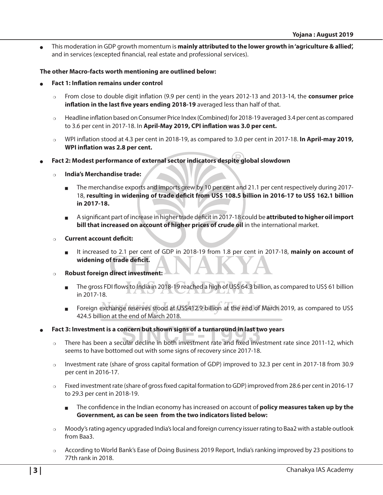<sup>O</sup> This moderation in GDP growth momentum is **mainly attributed to the lower growth in 'agriculture & allied',**  and in services (excepted financial, real estate and professional services).

#### **The other Macro-facts worth mentioning are outlined below:**

- <sup>O</sup> **Fact 1: Inflation remains under control**
	- <sup>P</sup> From close to double digit inflation (9.9 per cent) in the years 2012-13 and 2013-14, the **consumer price inflation in the last five years ending 2018-19** averaged less than half of that.
	- $\circ$  Headline inflation based on Consumer Price Index (Combined) for 2018-19 averaged 3.4 per cent as compared to 3.6 per cent in 2017-18. In **April-May 2019, CPI inflation was 3.0 per cent.**
	- <sup>P</sup> WPI inflation stood at 4.3 per cent in 2018-19, as compared to 3.0 per cent in 2017-18. **In April-may 2019, WPI inflation was 2.8 per cent.**
- Fact 2: Modest performance of external sector indicators despite global slowdown
	- <sup>P</sup> **India's Merchandise trade:** 
		- The merchandise exports and imports grew by 10 per cent and 21.1 per cent respectively during 2017-18, **resulting in widening of trade deficit from US\$ 108.5 billion in 2016-17 to US\$ 162.1 billion in 2017-18.**
		- <sup>Q</sup> A significant part of increase in higher trade deficit in 2017-18 could be **attributed to higher oil import bill that increased on account of higher prices of crude oil** in the international market.
	- $\circ$  **Current account deficit:** 
		- It increased to 2.1 per cent of GDP in 2018-19 from 1.8 per cent in 2017-18, **mainly on account of widening of trade deficit.**
	- **8 Robust foreign direct investment:** 
		- The gross FDI flows to India in 2018-19 reached a high of US\$ 64.3 billion, as compared to US\$ 61 billion in 2017-18.
		- Foreign exchange reserves stood at US\$412.9 billion at the end of March 2019, as compared to US\$ 424.5 billion at the end of March 2018.
- Fact 3: Investment is a concern but shown signs of a turnaround in last two years
	- $\circ$  There has been a secular decline in both investment rate and fixed investment rate since 2011-12, which seems to have bottomed out with some signs of recovery since 2017-18.
	- o Investment rate (share of gross capital formation of GDP) improved to 32.3 per cent in 2017-18 from 30.9 per cent in 2016-17.
	- $\circ$  Fixed investment rate (share of gross fixed capital formation to GDP) improved from 28.6 per cent in 2016-17 to 29.3 per cent in 2018-19.
		- The confidence in the Indian economy has increased on account of **policy measures taken up by the Government, as can be seen from the two indicators listed below:**
	- $\circ$  Moody's rating agency upgraded India's local and foreign currency issuer rating to Baa2 with a stable outlook from Baa3.
	- $\circ$  According to World Bank's Ease of Doing Business 2019 Report, India's ranking improved by 23 positions to 77th rank in 2018.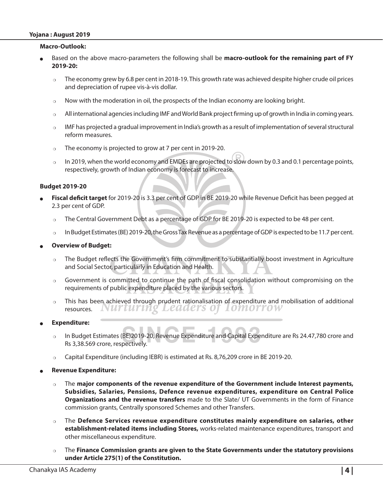#### **Macro-Outlook:**

- <sup>O</sup> Based on the above macro-parameters the following shall be **macro-outlook for the remaining part of FY 2019-20:**
	- $\circ$  The economy grew by 6.8 per cent in 2018-19. This growth rate was achieved despite higher crude oil prices and depreciation of rupee vis-à-vis dollar.
	- $\circ$  Now with the moderation in oil, the prospects of the Indian economy are looking bright.
	- $\circ$  All international agencies including IMF and World Bank project firming up of growth in India in coming years.
	- $\circ$  IMF has projected a gradual improvement in India's growth as a result of implementation of several structural reform measures.
	- $\circ$  The economy is projected to grow at 7 per cent in 2019-20.
	- $\circ$  In 2019, when the world economy and EMDEs are projected to slow down by 0.3 and 0.1 percentage points, respectively, growth of Indian economy is forecast to increase.

#### **Budget 2019-20**

- Fiscal deficit target for 2019-20 is 3.3 per cent of GDP in BE 2019-20 while Revenue Deficit has been pegged at 2.3 per cent of GDP.
	- o The Central Government Debt as a percentage of GDP for BE 2019-20 is expected to be 48 per cent.
	- $\circ$  In Budget Estimates (BE) 2019-20, the Gross Tax Revenue as a percentage of GDP is expected to be 11.7 per cent.

#### <sup>O</sup> **Overview of Budget:**

- $\circ$  The Budget reflects the Government's firm commitment to substantially boost investment in Agriculture and Social Sector, particularly in Education and Health.
- $\circ$  Government is committed to continue the path of fiscal consolidation without compromising on the requirements of public expenditure placed by the various sectors.
- $\circ$  This has been achieved through prudent rationalisation of expenditure and mobilisation of additional Nurturing Leaaers of **TOMOTTOW** resources.

#### Expenditure:

- $\circ$  In Budget Estimates (BE)2019-20, Revenue Expenditure and Capital Expenditure are Rs 24.47,780 crore and Rs 3,38.569 crore, respectively.
- $\degree$  Capital Expenditure (including IEBR) is estimated at Rs. 8,76,209 crore in BE 2019-20.
- **Revenue Expenditure:** 
	- $\circ$  The major components of the revenue expenditure of the Government include Interest payments, **Subsidies, Salaries, Pensions, Defence revenue expenditures, expenditure on Central Police Organizations and the revenue transfers** made to the Slate/ UT Governments in the form of Finance commission grants, Centrally sponsored Schemes and other Transfers.
	- o The **Defence Services revenue expenditure constitutes mainly expenditure on salaries, other establishment-related items including Stores,** works-related maintenance expenditures, transport and other miscellaneous expenditure.
	- $\circ$  The **Finance Commission grants are given to the State Governments under the statutory provisions under Article 275(1) of the Constitution.**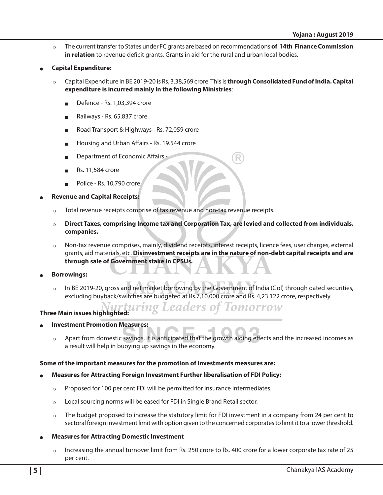- <sup>P</sup> The current transfer to States under FC grants are based on recommendations **of 14th Finance Commission in relation** to revenue deficit grants, Grants in aid for the rural and urban local bodies.
- <sup>O</sup> **Capital Expenditure:**
	- <sup>P</sup> Capital Expenditure in BE 2019-20 is Rs. 3.38,569 crore. This is **through Consolidated Fund of India. Capital expenditure is incurred mainly in the following Ministries**:
		- <sup>Q</sup> Defence Rs. 1,03,394 crore
		- Railways Rs. 65.837 crore
		- Road Transport & Highways Rs. 72,059 crore
		- Housing and Urban Affairs Rs. 19.544 crore
		- Department of Economic Affairs
		- Rs. 11,584 crore
		- Police Rs. 10,790 crore

#### **Revenue and Capital Receipts:**

- $\circ$  Total revenue receipts comprise of tax revenue and non-tax revenue receipts.
- $\circ$  Direct Taxes, comprising Income tax and Corporation Tax, are levied and collected from individuals, **companies.**
- $\circ$  Non-tax revenue comprises, mainly, dividend receipts, interest receipts, licence fees, user charges, external grants, aid materials, etc. **Disinvestment receipts are in the nature of non-debt capital receipts and are through sale of Government stake in CPSUs.**

**Borrowings:** 

o In BE 2019-20, gross and net market borrowing by the Government of India (Gol) through dated securities, excluding buyback/switches are budgeted at Rs.7,10.000 crore and Rs. 4,23.122 crore, respectively.

## **Three Main issues highlighted:** Three Main issues highlighted:

#### **Investment Promotion Measures:**

 $\circ$  Apart from domestic savings, it is anticipated that the growth aiding effects and the increased incomes as a result will help in buoying up savings in the economy.

#### **Some of the important measures for the promotion of investments measures are:**

#### <sup>O</sup> **Measures for Attracting Foreign Investment Further liberalisation of FDI Policy:**

- $\circ$  Proposed for 100 per cent FDI will be permitted for insurance intermediates.
- $\circ$  Local sourcing norms will be eased for FDI in Single Brand Retail sector.
- $\circ$  The budget proposed to increase the statutory limit for FDI investment in a company from 24 per cent to sectoral foreign investment limit with option given to the concerned corporates to limit it to a lower threshold.

#### **Measures for Attracting Domestic Investment**

 $\circ$  Increasing the annual turnover limit from Rs. 250 crore to Rs. 400 crore for a lower corporate tax rate of 25 per cent.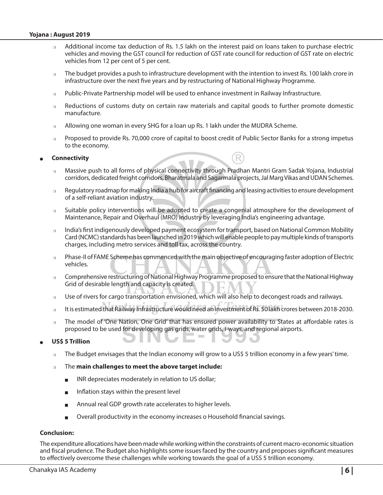- $\circ$  Additional income tax deduction of Rs. 1.5 lakh on the interest paid on loans taken to purchase electric vehicles and moving the GST council for reduction of GST rate council for reduction of GST rate on electric vehicles from 12 per cent of 5 per cent.
- $\circ$  The budget provides a push to infrastructure development with the intention to invest Rs. 100 lakh crore in infrastructure over the next five years and by restructuring of National Highway Programme.
- $\circ$  Public-Private Partnership model will be used to enhance investment in Railway Infrastructure.
- $\circ$  Reductions of customs duty on certain raw materials and capital goods to further promote domestic manufacture.
- $\circ$  Allowing one woman in every SHG for a loan up Rs. 1 lakh under the MUDRA Scheme.
- $\circ$  Proposed to provide Rs. 70,000 crore of capital to boost credit of Public Sector Banks for a strong impetus to the economy.

#### <sup>O</sup> **Connectivity**

- $\circ$  Massive push to all forms of physical connectivity through Pradhan Mantri Gram Sadak Yojana, Industrial corridors, dedicated freight corridors, Bharatmala and Sagarmala projects, Jal Marg Vikas and UDAN Schemes.
- $\circ$  Regulatory roadmap for making India a hub for aircraft financing and leasing activities to ensure development of a self-reliant aviation industry.
- $\circ$  Suitable policy interventions will be adopted to create a congenial atmosphere for the development of Maintenance, Repair and Overhaul (MRO) industry by leveraging India's engineering advantage.
- $\circ$  India's first indigenously developed payment ecosystem for transport, based on National Common Mobility Card (NCMC) standards has been launched in 2019 which will enable people to pay multiple kinds of transports charges, including metro services and toll tax, across the country.
- $\circ$  Phase-II of FAME Scheme has commenced with the main objective of encouraging faster adoption of Electric vehicles.
- $\circ$  Comprehensive restructuring of National Highway Programme proposed to ensure that the National Highway Grid of desirable length and capacity is created.
- $\circ$  Use of rivers for cargo transportation envisioned, which will also help to decongest roads and railways.
- $\circ$  It is estimated that Railway Infrastructure would need an investment of Rs. 50 lakh crores between 2018-2030.
- $\circ$  The model of 'One Nation, One Grid' that has ensured power availability to States at affordable rates is proposed to be used for developing gas grids, water grids, i-ways, and regional airports.

#### <sup>O</sup> **US\$ 5 Trillion**

- $\circ$  The Budget envisages that the Indian economy will grow to a US\$ 5 trillion economy in a few years' time.
- **Propelling The main challenges to meet the above target include:** 
	- INR depreciates moderately in relation to US dollar;
	- Inflation stays within the present level
	- Annual real GDP growth rate accelerates to higher levels.
	- <sup>Q</sup> Overall productivity in the economy increases o Household financial savings.

#### **Conclusion:**

The expenditure allocations have been made while working within the constraints of current macro-economic situation and fiscal prudence. The Budget also highlights some issues faced by the country and proposes significant measures to effectively overcome these challenges while working towards the goal of a USS 5 trillion economy.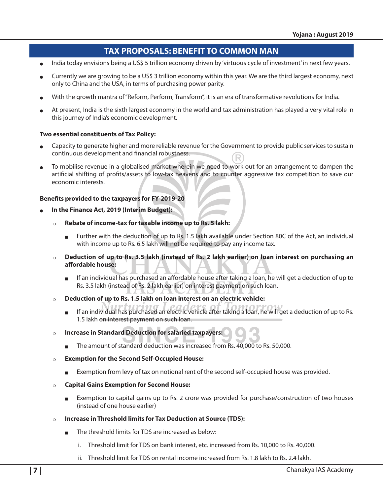## **TAX PROPOSALS: BENEFIT TO COMMON MAN**

- India today envisions being a US\$ 5 trillion economy driven by 'virtuous cycle of investment' in next few years.
- Currently we are growing to be a US\$ 3 trillion economy within this year. We are the third largest economy, next only to China and the USA, in terms of purchasing power parity.
- With the growth mantra of "Reform, Perform, Transform", it is an era of transformative revolutions for India.
- At present, India is the sixth largest economy in the world and tax administration has played a very vital role in this journey of India's economic development.

#### **Two essential constituents of Tax Policy:**

- Capacity to generate higher and more reliable revenue for the Government to provide public services to sustain continuous development and financial robustness.
- To mobilise revenue in a globalised market wherein we need to work out for an arrangement to dampen the artificial shifting of profits/assets to low-tax heavens and to counter aggressive tax competition to save our economic interests.

#### **Benefits provided to the taxpayers for FY-2019-20**

- In the Finance Act, 2019 (Interim Budget):
	- **Proposite of income-tax for taxable income up to Rs. 5 lakh:** 
		- Further with the deduction of up to Rs. 1.5 lakh available under Section 80C of the Act, an individual with income up to Rs. 6.5 lakh will not be required to pay any income tax.
	- o **Deduction of up to Rs. 3.5 lakh (instead of Rs. 2 lakh earlier) on loan interest on purchasing an affordable house:**
		- If an individual has purchased an affordable house after taking a loan, he will get a deduction of up to Rs. 3.5 lakh (instead of Rs. 2 lakh earlier) on interest payment on such loan.
	- **P** Deduction of up to Rs. 1.5 lakh on loan interest on an electric vehicle:
		- **If an individual has purchased an electric vehicle after taking a loan, he will get a deduction of up to Rs.** 1.5 lakh on interest payment on such loan.

#### **Propertival in Standard Deduction for salaried taxpayers:**

- The amount of standard deduction was increased from Rs. 40,000 to Rs. 50,000.
- **8 Exemption for the Second Self-Occupied House:** 
	- Exemption from levy of tax on notional rent of the second self-occupied house was provided.
- **O Capital Gains Exemption for Second House:** 
	- **Exemption to capital gains up to Rs. 2 crore was provided for purchase/construction of two houses** (instead of one house earlier)
- **Properence in Threshold limits for Tax Deduction at Source (TDS):** 
	- The threshold limits for TDS are increased as below:
		- i. Threshold limit for TDS on bank interest, etc. increased from Rs. 10,000 to Rs. 40,000.
		- ii. Threshold limit for TDS on rental income increased from Rs. 1.8 lakh to Rs. 2.4 lakh.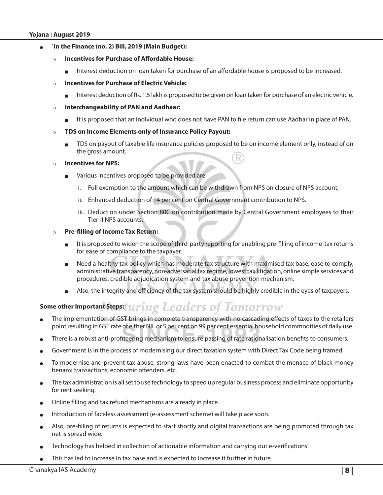#### In the Finance (no. 2) Bill, 2019 (Main Budget):

- **Proximarge 1 Incentives for Purchase of Affordable House:** 
	- Interest deduction on loan taken for purchase of an affordable house is proposed to be increased.
- o **Incentives for Purchase of Electric Vehicle:** 
	- Interest deduction of Rs. 1.5 lakh is proposed to be given on loan taken for purchase of an electric vehicle.

#### <sup>P</sup> **Interchangeability of PAN and Aadhaar:**

- It is proposed that an individual who does not have PAN to file return can use Aadhar in place of PAN.
- o **TDS on Income Elements only of Insurance Policy Payout:** 
	- TDS on payout of taxable life insurance policies proposed to be on income element only, instead of on the gross amount.

#### o **Incentives for NPS:**

- Various incentives proposed to be provided are
	- i. Full exemption to the amount which can be withdrawn from NPS on closure of NPS account;
	- ii. Enhanced deduction of 14 per cent on Central Government contribution to NPS.
	- iii. Deduction under Section 80C on contribution made by Central Government employees to their Tier-II NPS accounts.

#### <sup>P</sup> **Pre-filling of Income Tax Return:**

- It is proposed to widen the scope of third-party reporting for enabling pre-filling of income-tax returns for ease of compliance to the taxpayer.
- Need a healthy tax policy which has moderate tax structure with maximised tax base, ease to comply, administrative transparency, non-adversarial tax regime, lowest tax litigation, online simple services and procedures, credible adjudication system and tax abuse prevention mechanism.
- Also, the integrity and efficiency of the tax system should be highly credible in the eyes of taxpayers.

## Some other Important Steps:  $turng$  Leaders of Tomorrow

- The implementation of GST brings in complete transparency with no cascading effects of taxes to the retailers point resulting in GST rate of either NIL or 5 per cent on 99 per cent essential household commodities of daily use.
- There is a robust anti-profiteering mechanism to ensure passing of rate rationalisation benefits to consumers.
- Government is in the process of modernising our direct taxation system with Direct Tax Code being framed.
- To modernise and prevent tax abuse, strong laws have been enacted to combat the menace of black money benami transactions, economic offenders, etc.
- The tax administration is all set to use technology to speed up regular business process and eliminate opportunity for rent seeking.
- Online filling and tax refund mechanisms are already in place.
- Introduction of faceless assessment (e-assessment scheme) will take place soon.
- Also, pre-filling of returns is expected to start shortly and digital transactions are being promoted through tax net is spread wide.
- Technology has helped in collection of actionable information and carrying out e-verifications.
- This has led to increase in tax base and is expected to increase it further in future.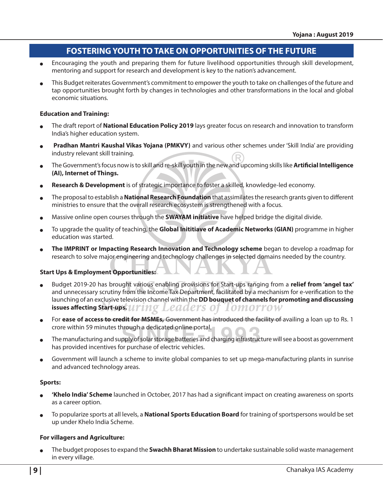## **FOSTERING YOUTH TO TAKE ON OPPORTUNITIES OF THE FUTURE**

- <sup>O</sup> Encouraging the youth and preparing them for future livelihood opportunities through skill development, mentoring and support for research and development is key to the nation's advancement.
- This Budget reiterates Government's commitment to empower the youth to take on challenges of the future and tap opportunities brought forth by changes in technologies and other transformations in the local and global economic situations.

#### **Education and Training:**

- The draft report of **National Education Policy 2019** lays greater focus on research and innovation to transform India's higher education system.
- **Pradhan Mantri Kaushal Vikas Yojana (PMKVY)** and various other schemes under 'Skill India' are providing industry relevant skill training.
- <sup>O</sup> The Government's focus now is to skill and re-skill youth in the new and upcoming skills like **Artificial Intelligence (AI), Internet of Things.**
- Research & Development is of strategic importance to foster a skilled, knowledge-led economy.
- <sup>O</sup> The proposal to establish a **National Research Foundation** that assimilates the research grants given to different ministries to ensure that the overall research ecosystem is strengthened with a focus.
- <sup>O</sup> Massive online open courses through the **SWAYAM initiative** have helped bridge the digital divide.
- To upgrade the quality of teaching, the **Global Inititiave of Academic Networks (GIAN)** programme in higher education was started.
- <sup>O</sup> **The IMPRINT or Impacting Research Innovation and Technology scheme** began to develop a roadmap for research to solve major engineering and technology challenges in selected domains needed by the country.

#### **Start Ups & Employment Opportunities:**

- Budget 2019-20 has brought various enabling provisions for Start-ups ranging from a **relief from 'angel tax'** and unnecessary scrutiny from the Income Tax Department, facilitated by a mechanism for e-verification to the launching of an exclusive television channel within the **DD bouquet of channels for promoting and discussing issues affecting Start-ups.**
- For **ease of access to credit for MSMEs,** Government has introduced the facility of availing a loan up to Rs. 1 crore within 59 minutes through a dedicated online portal.
- The manufacturing and supply of solar storage batteries and charging infrastructure will see a boost as government has provided incentives for purchase of electric vehicles.
- Government will launch a scheme to invite global companies to set up mega-manufacturing plants in sunrise and advanced technology areas.

#### **Sports:**

- **'Khelo India' Scheme** launched in October, 2017 has had a significant impact on creating awareness on sports as a career option.
- To popularize sports at all levels, a **National Sports Education Board** for training of sportspersons would be set up under Khelo India Scheme.

#### **For villagers and Agriculture:**

<sup>O</sup> The budget proposes to expand the **Swachh Bharat Mission** to undertake sustainable solid waste management in every village.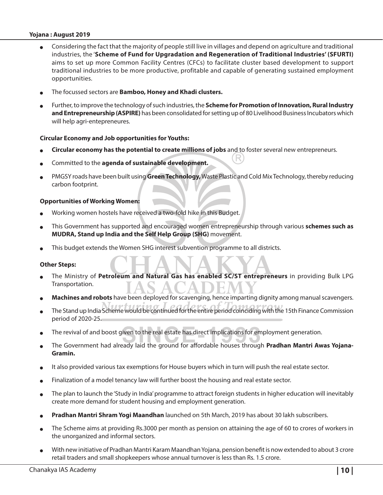- Considering the fact that the majority of people still live in villages and depend on agriculture and traditional industries, the '**Scheme of Fund for Upgradation and Regeneration of Traditional Industries' (SFURTI)** aims to set up more Common Facility Centres (CFCs) to facilitate cluster based development to support traditional industries to be more productive, profitable and capable of generating sustained employment opportunities.
- The focussed sectors are **Bamboo, Honey and Khadi clusters.**
- <sup>O</sup> Further, to improve the technology of such industries, the **Scheme for Promotion of Innovation, Rural Industry and Entrepreneurship (ASPIRE)** has been consolidated for setting up of 80 Livelihood Business Incubators which will help agri-entepreneures.

#### **Circular Economy and Job opportunities for Youths:**

- **Circular economy has the potential to create millions of jobs** and to foster several new entrepreneurs.
- Committed to the **agenda of sustainable development.**
- PMGSY roads have been built using Green Technology, Waste Plastic and Cold Mix Technology, thereby reducing carbon footprint.

#### **Opportunities of Working Women:**

- Working women hostels have received a two-fold hike in this Budget.
- This Government has supported and encouraged women entrepreneurship through various **schemes such as MUDRA, Stand up India and the Self Help Group (SHG)** movement.
- This budget extends the Women SHG interest subvention programme to all districts.

#### **Other Steps:**

- <sup>O</sup> The Ministry of **Petroleum and Natural Gas has enabled SC/ST entrepreneurs** in providing Bulk LPG Transportation.
- **Machines and robots** have been deployed for scavenging, hence imparting dignity among manual scavengers.
- The Stand up India Scheme would be continued for the entire period coinciding with the 15th Finance Commission period of 2020-25.
- The revival of and boost given to the real estate has direct implications for employment generation.
- The Government had already laid the ground for affordable houses through Pradhan Mantri Awas Yojana-**Gramin.**
- It also provided various tax exemptions for House buyers which in turn will push the real estate sector.
- Finalization of a model tenancy law will further boost the housing and real estate sector.
- <sup>O</sup> The plan to launch the 'Study in India' programme to attract foreign students in higher education will inevitably create more demand for student housing and employment generation.
- <sup>O</sup> **Pradhan Mantri Shram Yogi Maandhan** launched on 5th March, 2019 has about 30 lakh subscribers.
- The Scheme aims at providing Rs.3000 per month as pension on attaining the age of 60 to crores of workers in the unorganized and informal sectors.
- With new initiative of Pradhan Mantri Karam Maandhan Yojana, pension benefit is now extended to about 3 crore retail traders and small shopkeepers whose annual turnover is less than Rs. 1.5 crore.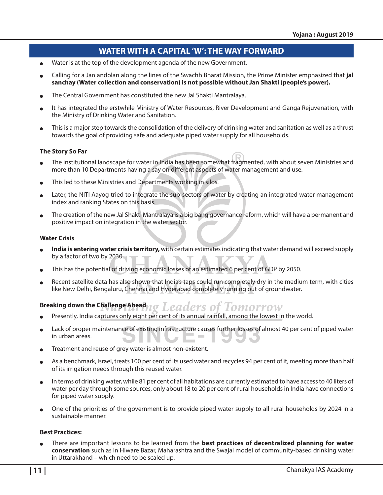## **WATER WITH A CAPITAL 'W': THE WAY FORWARD**

- $\bullet$  Water is at the top of the development agenda of the new Government.
- <sup>O</sup> Calling for a Jan andolan along the lines of the Swachh Bharat Mission, the Prime Minister emphasized that **jal sanchay (Water collection and conservation) is not possible without Jan Shakti (people's power).**
- The Central Government has constituted the new Jal Shakti Mantralaya.
- It has integrated the erstwhile Ministry of Water Resources, River Development and Ganga Rejuvenation, with the Ministry of Drinking Water and Sanitation.
- This is a major step towards the consolidation of the delivery of drinking water and sanitation as well as a thrust towards the goal of providing safe and adequate piped water supply for all households.

#### **The Story So Far**

- The institutional landscape for water in India has been somewhat fragmented, with about seven Ministries and more than 10 Departments having a say on different aspects of water management and use.
- This led to these Ministries and Departments working in silos.
- <sup>O</sup> Later, the NITI Aayog tried to integrate the sub-sectors of water by creating an integrated water management index and ranking States on this basis.
- The creation of the new Jal Shakti Mantralaya is a big bang governance reform, which will have a permanent and positive impact on integration in the water sector.

#### **Water Crisis**

- **India is entering water crisis territory,** with certain estimates indicating that water demand will exceed supply by a factor of two by 2030.
- This has the potential of driving economic losses of an estimated 6 per cent of GDP by 2050.
- Recent satellite data has also shown that India's taps could run completely dry in the medium term, with cities like New Delhi, Bengaluru, Chennai and Hyderabad completely running out of groundwater.

## Breaking down the Challenge Ahead no Leaders of Tomorrow

- Presently, India captures only eight per cent of its annual rainfall, among the lowest in the world.
- Lack of proper maintenance of existing infrastructure causes further losses of almost 40 per cent of piped water in urban areas.
- Treatment and reuse of grey water is almost non-existent.
- As a benchmark, Israel, treats 100 per cent of its used water and recycles 94 per cent of it, meeting more than half of its irrigation needs through this reused water.
- <sup>O</sup> In terms of drinking water, while 81 per cent of all habitations are currently estimated to have access to 40 liters of water per day through some sources, only about 18 to 20 per cent of rural households in India have connections for piped water supply.
- <sup>O</sup> One of the priorities of the government is to provide piped water supply to all rural households by 2024 in a sustainable manner.

#### **Best Practices:**

There are important lessons to be learned from the **best practices of decentralized planning for water conservation** such as in Hiware Bazar, Maharashtra and the Swajal model of community-based drinking water in Uttarakhand – which need to be scaled up.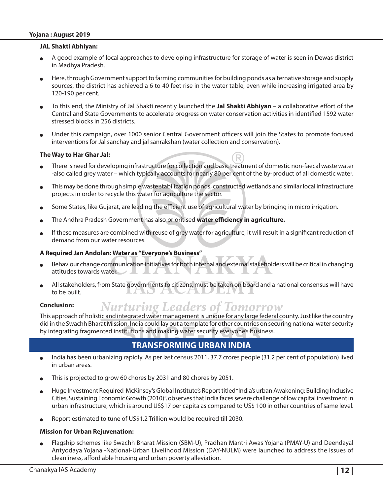#### **JAL Shakti Abhiyan:**

- A good example of local approaches to developing infrastructure for storage of water is seen in Dewas district in Madhya Pradesh.
- Here, through Government support to farming communities for building ponds as alternative storage and supply sources, the district has achieved a 6 to 40 feet rise in the water table, even while increasing irrigated area by 120-190 per cent.
- <sup>O</sup> To this end, the Ministry of Jal Shakti recently launched the **Jal Shakti Abhiyan** a collaborative effort of the Central and State Governments to accelerate progress on water conservation activities in identified 1592 water stressed blocks in 256 districts.
- Under this campaign, over 1000 senior Central Government officers will join the States to promote focused interventions for Jal sanchay and jal sanrakshan (water collection and conservation).

#### **The Way to Har Ghar Jal:**

- There is need for developing infrastructure for collection and basic treatment of domestic non-faecal waste water -also called grey water – which typically accounts for nearly 80 per cent of the by-product of all domestic water.
- This may be done through simple waste stabilization ponds, constructed wetlands and similar local infrastructure projects in order to recycle this water for agriculture the sector.
- Some States, like Gujarat, are leading the efficient use of agricultural water by bringing in micro irrigation.
- The Andhra Pradesh Government has also prioritised water efficiency in agriculture.
- If these measures are combined with reuse of grey water for agriculture, it will result in a significant reduction of demand from our water resources.

#### **A Required Jan Andolan: Water as "Everyone's Business"**

- Behaviour change communication initiatives for both internal and external stakeholders will be critical in changing attitudes towards water.
- All stakeholders, from State governments to citizens, must be taken on board and a national consensus will have цар делосит to be built.

#### **Conclusion: Nurturing Leaders of Tomorrow**

This approach of holistic and integrated water management is unique for any large federal county. Just like the country did in the Swachh Bharat Mission, India could lay out a template for other countries on securing national water security by integrating fragmented institutions and making water security everyone's business.

### **TRANSFORMING URBAN INDIA**

- $\bullet$  India has been urbanizing rapidly. As per last census 2011, 37.7 crores people (31.2 per cent of population) lived in urban areas.
- This is projected to grow 60 chores by 2031 and 80 chores by 2051.
- Huge Investment Required McKinsey's Global Institute's Report titled "India's urban Awakening: Building Inclusive Cities, Sustaining Economic Growth (2010)", observes that India faces severe challenge of low capital investment in urban infrastructure, which is around US\$17 per capita as compared to US\$ 100 in other countries of same level.
- Report estimated to tune of US\$1.2 Trillion would be required till 2030.

#### **Mission for Urban Rejuvenation:**

Flagship schemes like Swachh Bharat Mission (SBM-U), Pradhan Mantri Awas Yojana (PMAY-U) and Deendayal Antyodaya Yojana -National-Urban Livelihood Mission (DAY-NULM) were launched to address the issues of cleanliness, afford able housing and urban poverty alleviation.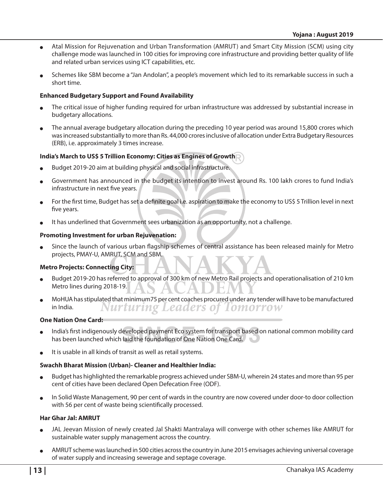- Atal Mission for Rejuvenation and Urban Transformation (AMRUT) and Smart City Mission (SCM) using city challenge mode was launched in 100 cities for improving core infrastructure and providing better quality of life and related urban services using ICT capabilities, etc.
- Schemes like SBM become a "Jan Andolan", a people's movement which led to its remarkable success in such a short time.

#### **Enhanced Budgetary Support and Found Availability**

- The critical issue of higher funding required for urban infrastructure was addressed by substantial increase in budgetary allocations.
- The annual average budgetary allocation during the preceding 10 year period was around 15,800 crores which was increased substantially to more than Rs. 44,000 crores inclusive of allocation under Extra Budgetary Resources (ERB), i.e. approximately 3 times increase.

#### **India's March to US\$ 5 Trillion Economy: Cities as Engines of Growth**

- Budget 2019-20 aim at building physical and social infrastructure.
- Government has announced in the budget its intention to invest around Rs. 100 lakh crores to fund India's infrastructure in next five years.
- For the first time, Budget has set a definite goal i.e. aspiration to make the economy to US\$ 5 Trillion level in next five years.
- It has underlined that Government sees urbanization as an opportunity, not a challenge.

#### **Promoting Investment for urban Rejuvenation:**

Since the launch of various urban flagship schemes of central assistance has been released mainly for Metro projects, PMAY-U, AMRUT, SCM and SBM.

#### **Metro Projects: Connecting City:**

- Budget 2019-20 has referred to approval of 300 km of new Metro Rail projects and operationalisation of 210 km Metro lines during 2018-19.
- MoHUA has stipulated that minimum75 per cent coaches procured under any tender will have to be manufactured **Nurturing Leaders of Tomorrow** in India.

#### **One Nation One Card:**

- India's first indigenously developed payment Eco system for transport based on national common mobility card has been launched which laid the foundation of One Nation One Card.
- It is usable in all kinds of transit as well as retail systems.

#### **Swachh Bharat Mission (Urban)- Cleaner and Healthier India:**

- Budget has highlighted the remarkable progress achieved under SBM-U, wherein 24 states and more than 95 per cent of cities have been declared Open Defecation Free (ODF).
- In Solid Waste Management, 90 per cent of wards in the country are now covered under door-to door collection with 56 per cent of waste being scientifically processed.

#### **Har Ghar Jal: AMRUT**

- JAL Jeevan Mission of newly created Jal Shakti Mantralaya will converge with other schemes like AMRUT for sustainable water supply management across the country.
- AMRUT scheme was launched in 500 cities across the country in June 2015 envisages achieving universal coverage of water supply and increasing sewerage and septage coverage.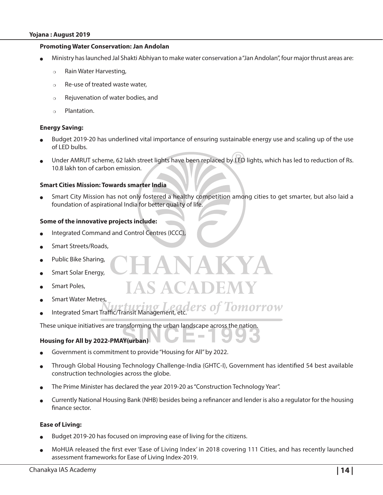#### **Promoting Water Conservation: Jan Andolan**

- Ministry has launched Jal Shakti Abhiyan to make water conservation a "Jan Andolan", four major thrust areas are:
	- $\circ$  Rain Water Harvesting,
	- $\circ$  Re-use of treated waste water,
	- $\circ$  Rejuvenation of water bodies, and
	- $\circ$  Plantation.

#### **Energy Saving:**

- Budget 2019-20 has underlined vital importance of ensuring sustainable energy use and scaling up of the use of LED bulbs.
- Under AMRUT scheme, 62 lakh street lights have been replaced by LED lights, which has led to reduction of Rs. 10.8 lakh ton of carbon emission.

#### **Smart Cities Mission: Towards smarter India**

Smart City Mission has not only fostered a healthy competition among cities to get smarter, but also laid a foundation of aspirational India for better quality of life.

#### **Some of the innovative projects include:**

- Integrated Command and Control Centres (ICCC),
- Smart Streets/Roads,
- Public Bike Sharing,
- Smart Solar Energy,
- Smart Poles,
- **Smart Water Metres,**
- Integrated Smart Traffic/Transit Management, etc. *etc. Of Tomorrow*

These unique initiatives are transforming the urban landscape across the nation.

#### **Housing for All by 2022-PMAY(urban)**

- Government is commitment to provide "Housing for All" by 2022.
- Through Global Housing Technology Challenge-India (GHTC-I), Government has identified 54 best available construction technologies across the globe.

IAS ACADEMY

- The Prime Minister has declared the year 2019-20 as "Construction Technology Year".
- Currently National Housing Bank (NHB) besides being a refinancer and lender is also a regulator for the housing finance sector.

#### **Ease of Living:**

- Budget 2019-20 has focused on improving ease of living for the citizens.
- <sup>O</sup> MoHUA released the first ever 'Ease of Living Index' in 2018 covering 111 Cities, and has recently launched assessment frameworks for Ease of Living Index-2019.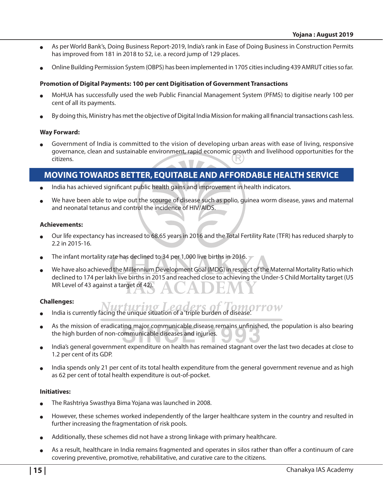- As per World Bank's, Doing Business Report-2019, India's rank in Ease of Doing Business in Construction Permits has improved from 181 in 2018 to 52, i.e. a record jump of 129 places.
- <sup>O</sup> Online Building Permission System (OBPS) has been implemented in 1705 cities including 439 AMRUT cities so far.

#### **Promotion of Digital Payments: 100 per cent Digitisation of Government Transactions**

- <sup>O</sup> MoHUA has successfully used the web Public Financial Management System (PFMS) to digitise nearly 100 per cent of all its payments.
- By doing this, Ministry has met the objective of Digital India Mission for making all financial transactions cash less.

#### **Way Forward:**

Government of India is committed to the vision of developing urban areas with ease of living, responsive governance, clean and sustainable environment, rapid economic growth and livelihood opportunities for the citizens.

## **MOVING TOWARDS BETTER, EQUITABLE AND AFFORDABLE HEALTH SERVICE**

- India has achieved significant public health gains and improvement in health indicators.
- We have been able to wipe out the scourge of disease such as polio, guinea worm disease, yaws and maternal and neonatal tetanus and control the incidence of HIV/AIDS.

#### **Achievements:**

- Our life expectancy has increased to 68.65 years in 2016 and the Total Fertility Rate (TFR) has reduced sharply to 2.2 in 2015-16.
- The infant mortality rate has declined to 34 per 1,000 live births in 2016.
- We have also achieved the Millennium Development Goal (MDG) in respect of the Maternal Mortality Ratio which declined to 174 per lakh live births in 2015 and reached close to achieving the Under-5 Child Mortality target (U5 MR Level of 43 against a target of 42).

#### **Challenges:**

- urturino Lead India is currently facing the unique situation of a 'triple burden of disease'.
- As the mission of eradicating major communicable disease remains unfinished, the population is also bearing the high burden of non-communicable diseases and injuries.
- India's general government expenditure on health has remained stagnant over the last two decades at close to 1.2 per cent of its GDP.
- India spends only 21 per cent of its total health expenditure from the general government revenue and as high as 62 per cent of total health expenditure is out-of-pocket.

#### **Initiatives:**

- The Rashtriya Swasthya Bima Yojana was launched in 2008.
- However, these schemes worked independently of the larger healthcare system in the country and resulted in further increasing the fragmentation of risk pools.
- Additionally, these schemes did not have a strong linkage with primary healthcare.
- As a result, healthcare in India remains fragmented and operates in silos rather than offer a continuum of care covering preventive, promotive, rehabilitative, and curative care to the citizens.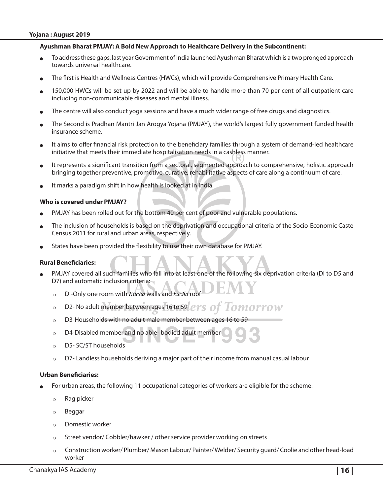#### **Ayushman Bharat PMJAY: A Bold New Approach to Healthcare Delivery in the Subcontinent:**

- To address these gaps, last year Government of India launched Ayushman Bharat which is a two pronged approach towards universal healthcare.
- The first is Health and Wellness Centres (HWCs), which will provide Comprehensive Primary Health Care.
- 150,000 HWCs will be set up by 2022 and will be able to handle more than 70 per cent of all outpatient care including non-communicable diseases and mental illness.
- The centre will also conduct yoga sessions and have a much wider range of free drugs and diagnostics.
- The Second is Pradhan Mantri Jan Arogya Yojana (PMJAY), the world's largest fully government funded health insurance scheme.
- It aims to offer financial risk protection to the beneficiary families through a system of demand-led healthcare initiative that meets their immediate hospitalisation needs in a cashless manner.
- It represents a significant transition from a sectoral, segmented approach to comprehensive, holistic approach bringing together preventive, promotive, curative, rehabilitative aspects of care along a continuum of care.
- It marks a paradigm shift in how health is looked at in India.

#### **Who is covered under PMJAY?**

- PMJAY has been rolled out for the bottom 40 per cent of poor and vulnerable populations.
- The inclusion of households is based on the deprivation and occupational criteria of the Socio-Economic Caste Census 2011 for rural and urban areas, respectively.
- States have been provided the flexibility to use their own database for PMJAY.

#### **Rural Beneficiaries:**

- PMJAY covered all such families who fall into at least one of the following six deprivation criteria (DI to D5 and D7) and automatic inclusion criteria:
	- <sup>P</sup> Dl-Only one room with *Kucha* walls and *kucha* roof
	- $\circ$  D2- No adult member between ages 16 to 59 PTS Of IOMOTTOW
	- $\circ$  D3-Households with no adult male member between ages 16 to 59
	- o D4-Disabled member and no able- bodied adult member
	- $\circ$  D5- SC/ST households
	- $\circ$  D7- Landless households deriving a major part of their income from manual casual labour

#### **Urban Beneficiaries:**

- For urban areas, the following 11 occupational categories of workers are eligible for the scheme:
	- $\circ$  Rag picker
	- $\circ$  Beggar
	- $\circ$  Domestic worker
	- $\circ$  Street vendor/ Cobbler/hawker / other service provider working on streets
	- $\circ$  Construction worker/ Plumber/ Mason Labour/ Painter/ Welder/ Security guard/ Coolie and other head-load worker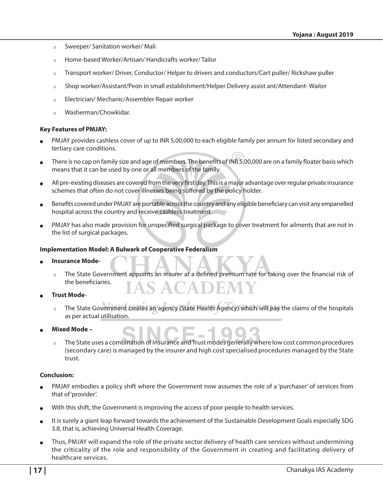- $\circ$  Sweeper/ Sanitation worker/ Mali
- $\circ$  Home-based Worker/Artisan/ Handicrafts worker/ Tailor
- $\circ$  Transport worker/ Driver, Conductor/ Helper to drivers and conductors/Cart puller/ Rickshaw puller
- $\circ$  Shop worker/Assistant/Peon in small establishment/Helper Delivery assist ant/Attendant-Waiter
- $\circ$  Electrician/ Mechanic/Assembler Repair worker
- $\circ$  Washerman/Chowkidar.

#### **Key Features of PMJAY:**

- PMJAY provides cashless cover of up to INR 5,00,000 to each eligible family per annum for listed secondary and tertiary care conditions.
- There is no cap on family size and age of members. The benefits of INR 5,00,000 are on a family floater basis which means that it can be used by one or all members of the family.
- All pre-existing diseases are covered from the very first day. This is a major advantage over regular private insurance schemes that often do not cover illnesses being suffered by the policy holder.
- <sup>O</sup> Benefits covered under PMJAY are portable across the country and any eligible beneficiary can visit any empanelled hospital across the country and receive cashless treatment.
- PMJAY has also made provision for unspecified surgical package to cover treatment for ailments that are not in the list of surgical packages.

#### **Implementation Model: A Bulwark of Cooperative Federalism**

- **Insurance Mode-**
	- $\circ$  The State Government appoints an insurer at a defined premium rate for taking over the financial risk of the beneficiaries. AS ACADEMY
- **Trust Mode**
	- o The State Government creates an agency (State Health Agency) which will pay the claims of the hospitals as per actual utilisation.
- **Mixed Mode** 
	- $\circ$  The State uses a combination of Insurance and Trust modes generally where low cost common procedures (secondary care) is managed by the insurer and high cost specialised procedures managed by the State trust.

#### **Conclusion:**

- PMJAY embodies a policy shift where the Government now assumes the role of a 'purchaser' of services from that of 'provider'.
- With this shift, the Government is improving the access of poor people to health services.
- It is surely a giant leap forward towards the achievement of the Sustainable Development Goals especially SDG 3.8, that is, achieving Universal Health Coverage.
- Thus, PMJAY will expand the role of the private sector delivery of health care services without undermining the criticality of the role and responsibility of the Government in creating and facilitating delivery of healthcare services.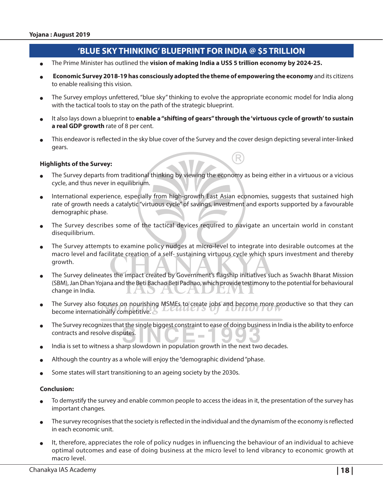## **'BLUE SKY THINKING' BLUEPRINT FOR INDIA @ \$5 TRILLION**

- <sup>O</sup> The Prime Minister has outlined the **vision of making India a USS 5 trillion economy by 2024-25.**
- **Economic Survey 2018-19 has consciously adopted the theme of empowering the economy** and its citizens to enable realising this vision.
- The Survey employs unfettered, "blue sky" thinking to evolve the appropriate economic model for India along with the tactical tools to stay on the path of the strategic blueprint.
- It also lays down a blueprint to **enable a "shifting of gears" through the 'virtuous cycle of growth' to sustain a real GDP growth** rate of 8 per cent.
- This endeavor is reflected in the sky blue cover of the Survey and the cover design depicting several inter-linked gears.

#### **Highlights of the Survey:**

- The Survey departs from traditional thinking by viewing the economy as being either in a virtuous or a vicious cycle, and thus never in equilibrium.
- International experience, especially from high-growth East Asian economies, suggests that sustained high rate of growth needs a catalytic "virtuous cycle" of savings, investment and exports supported by a favourable demographic phase.
- The Survey describes some of the tactical devices required to navigate an uncertain world in constant disequilibrium.
- The Survey attempts to examine policy nudges at micro-level to integrate into desirable outcomes at the macro level and facilitate creation of a self- sustaining virtuous cycle which spurs investment and thereby growth.
- The Survey delineates the impact created by Government's flagship initiatives such as Swachh Bharat Mission (SBM), Jan Dhan Yojana and the Beti Bachao Beti Padhao, which provide testimony to the potential for behavioural change in India. - 17 **ALL THE**
- The Survey also focuses on nourishing MSMEs to create jobs and become more productive so that they can become internationally competitive.
- $\bullet$  The Survey recognizes that the single biggest constraint to ease of doing business in India is the ability to enforce contracts and resolve disputes.
- India is set to witness a sharp slowdown in population growth in the next two decades.
- Although the country as a whole will enjoy the "demographic dividend "phase.
- Some states will start transitioning to an ageing society by the 2030s.

#### **Conclusion:**

- To demystify the survey and enable common people to access the ideas in it, the presentation of the survey has important changes.
- The survey recognises that the society is reflected in the individual and the dynamism of the economy is reflected in each economic unit.
- It, therefore, appreciates the role of policy nudges in influencing the behaviour of an individual to achieve optimal outcomes and ease of doing business at the micro level to lend vibrancy to economic growth at macro level.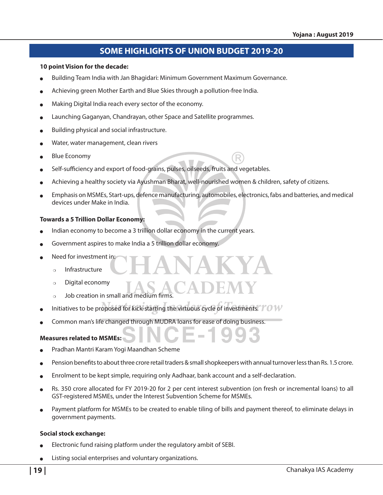## **SOME HIGHLIGHTS OF UNION BUDGET 2019-20**

#### **10 point Vision for the decade:**

- Building Team India with Jan Bhagidari: Minimum Government Maximum Governance.
- Achieving green Mother Earth and Blue Skies through a pollution-free India.
- Making Digital India reach every sector of the economy.
- Launching Gaganyan, Chandrayan, other Space and Satellite programmes.
- Building physical and social infrastructure.
- Water, water management, clean rivers
- **Blue Economy**
- Self-sufficiency and export of food-grains, pulses, oilseeds, fruits and vegetables.
- Achieving a healthy society via Ayushman Bharat, well-nourished women & children, safety of citizens.
- Emphasis on MSMEs, Start-ups, defence manufacturing, automobiles, electronics, fabs and batteries, and medical devices under Make in India.

#### **Towards a 5 Trillion Dollar Economy:**

- Indian economy to become a 3 trillion dollar economy in the current years.
- Government aspires to make India a 5 trillion dollar economy.
- Need for investment in:
	- $\circ$  Infrastructure
	- $\circ$  Digital economy
	- $\circ$  Job creation in small and medium firms.
- Initiatives to be proposed for kick-starting the virtuous cycle of investments.  $TOW$
- Common man's life changed through MUDRA loans for ease of doing business.

#### **Measures related to MSMEs:**

- Pradhan Mantri Karam Yogi Maandhan Scheme
- Pension benefits to about three crore retail traders & small shopkeepers with annual turnover less than Rs. 1.5 crore.
- Enrolment to be kept simple, requiring only Aadhaar, bank account and a self-declaration.
- Rs. 350 crore allocated for FY 2019-20 for 2 per cent interest subvention (on fresh or incremental loans) to all GST-registered MSMEs, under the Interest Subvention Scheme for MSMEs.
- Payment platform for MSMEs to be created to enable tiling of bills and payment thereof, to eliminate delays in government payments.

#### **Social stock exchange:**

- Electronic fund raising platform under the regulatory ambit of SEBI.
- Listing social enterprises and voluntary organizations.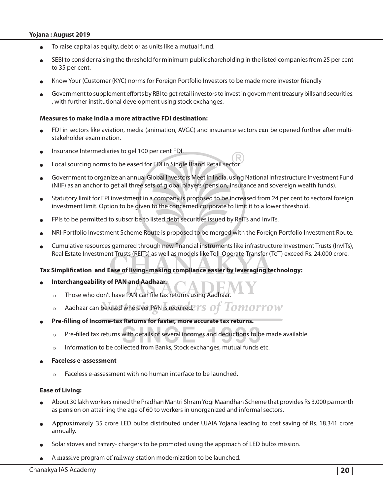- To raise capital as equity, debt or as units like a mutual fund.
- SEBI to consider raising the threshold for minimum public shareholding in the listed companies from 25 per cent to 35 per cent.
- Know Your (Customer (KYC) norms for Foreign Portfolio Investors to be made more investor friendly
- Government to supplement efforts by RBI to get retail investors to invest in government treasury bills and securities. , with further institutional development using stock exchanges.

#### **Measures to make India a more attractive FDI destination:**

- FDI in sectors like aviation, media (animation, AVGC) and insurance sectors can be opened further after multistakeholder examination.
- Insurance Intermediaries to gel 100 per cent FDI.
- Local sourcing norms to be eased for FDI in Single Brand Retail sector.
- Government to organize an annual Global Investors Meet in India, using National Infrastructure Investment Fund (NIIF) as an anchor to get all three sets of global players (pension, insurance and sovereign wealth funds).
- Statutory limit for FPI investment in a company is proposed to be increased from 24 per cent to sectoral foreign investment limit. Option to be given to the concerned corporate to limit it to a lower threshold.
- FPIs to be permitted to subscribe to listed debt securities issued by RelTs and InvITs.
- NRI-Portfolio Investment Scheme Route is proposed to be merged with the Foreign Portfolio Investment Route.
- Cumulative resources garnered through new financial instruments like infrastructure Investment Trusts (InvITs), Real Estate Investment Trusts (REITs) as well as models like Toll-Operate-Transfer (ToT) exceed Rs. 24,000 crore.

#### **Tax Simplification and Ease of living- making compliance easier by leveraging technology:**

- Interchangeability of PAN and Aadhaar.
	- $\circ$  Those who don't have PAN can file tax returns using Aadhaa
	- $\circ$  Aadhaar can be used wherever PAN is required. The Set  $\theta$  T  $\theta$  MOTTOW
- <sup>O</sup> **Pre-filling of Income-tax Returns for faster, more accurate tax returns.**
	- $\circ$  Pre-filled tax returns with details of several incomes and deductions to be made available.
	- $\circ$  Information to be collected from Banks, Stock exchanges, mutual funds etc.
- <sup>O</sup> **Faceless e-assessment**
	- $\circ$  Faceless e-assessment with no human interface to be launched.

#### **Ease of Living:**

- <sup>O</sup> About 30 lakh workers mined the Pradhan Mantri Shram Yogi Maandhan Scheme that provides Rs 3.000 pa month as pension on attaining the age of 60 to workers in unorganized and informal sectors.
- Approximately 35 crore LED bulbs distributed under UJAIA Yojana leading to cost saving of Rs. 18.341 crore annually.
- Solar stoves and battery- chargers to be promoted using the approach of LED bulbs mission.
- A massive program of railway station modernization to be launched.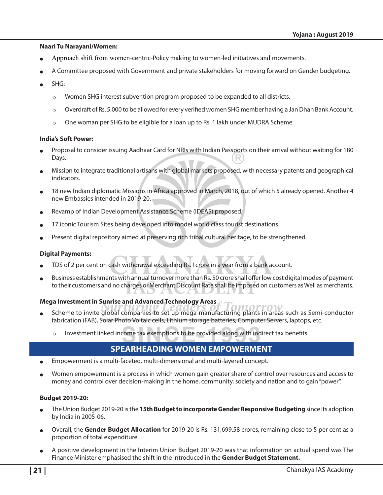#### **Naari Tu Narayani/Women:**

- Approach shift from women-centric-Policy making to women-led initiatives and movements.
- A Committee proposed with Government and private stakeholders for moving forward on Gender budgeting.
- SHG:
	- $\circ$  Women SHG interest subvention program proposed to be expanded to all districts.
	- $\circ$  Overdraft of Rs. 5.000 to be allowed for every verified women SHG member having a Jan Dhan Bank Account.
	- $\circ$  One woman per SHG to be eligible for a loan up to Rs. 1 lakh under MUDRA Scheme.

#### **India's Soft Power:**

- Proposal to consider issuing Aadhaar Card for NRIs with Indian Passports on their arrival without waiting for 180 Days.
- <sup>O</sup> Mission to integrate traditional artisans with global markets proposed, with necessary patents and geographical indicators.
- 18 new Indian diplomatic Missions in Africa approved in March, 2018, out of which 5 already opened. Another 4 new Embassies intended in 2019-20.
- Revamp of Indian Development Assistance Scheme (IDEAS) proposed.
- 17 iconic Tourism Sites being developed into model world class tourist destinations.
- Present digital repository aimed at preserving rich tribal cultural heritage, to be strengthened.

#### **Digital Payments:**

- TDS of 2 per cent on cash withdrawal exceeding Rs. I crore in a year from a bank account.
- Business establishments with annual turnover more than Rs. 50 crore shall offer low cost digital modes of payment to their customers and no charges or Merchant Discount Rate shall be imposed on customers as Well as merchants.

#### **Mega Investment in Sunrise and Advanced Technology Areas**

- Scheme to invite global companies to set up mega-manufacturing plants in areas such as Semi-conductor fabrication (FAB), Solar Photo Voltaic cells, Lithium storage batteries, Computer Servers, laptops, etc.
	- $\circ$  Investment linked income tax exemptions to be provided along with indirect tax benefits.

### **SPEARHEADING WOMEN EMPOWERMENT**

- $\bullet$  Empowerment is a multi-faceted, multi-dimensional and multi-layered concept.
- Women empowerment is a process in which women gain greater share of control over resources and access to money and control over decision-making in the home, community, society and nation and to gain "power".

#### **Budget 2019-20:**

- <sup>O</sup> The Union Budget 2019-20 is the **15th Budget to incorporate Gender Responsive Budgeting** since its adoption by India in 2005-06.
- <sup>O</sup> Overall, the **Gender Budget Allocation** for 2019-20 is Rs. 131,699.58 crores, remaining close to 5 per cent as a proportion of total expenditure.
- A positive development in the Interim Union Budget 2019-20 was that information on actual spend was The Finance Minister emphasised the shift in the introduced in the **Gender Budget Statement.**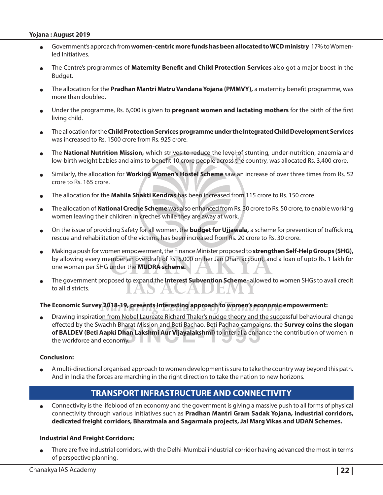- Government's approach from **women-centric more funds has been allocated to WCD ministry** 17% to Womenled Initiatives.
- <sup>O</sup> The Centre's programmes of **Maternity Benefit and Child Protection Services** also got a major boost in the Budget.
- **The allocation for the Pradhan Mantri Matru Vandana Yojana (PMMVY), a maternity benefit programme, was** more than doubled.
- <sup>O</sup> Under the programme, Rs. 6,000 is given to **pregnant women and lactating mothers** for the birth of the first living child.
- <sup>O</sup> The allocation for the **Child Protection Services programme under the Integrated Child Development Services** was increased to Rs. 1500 crore from Rs. 925 crore.
- The **National Nutrition Mission,** which strives to reduce the level of stunting, under-nutrition, anaemia and low-birth weight babies and aims to benefit 10 crore people across the country, was allocated Rs. 3,400 crore.
- <sup>O</sup> Similarly, the allocation for **Working Women's Hostel Scheme** saw an increase of over three times from Rs. 52 crore to Rs. 165 crore.
- <sup>O</sup> The allocation for the **Mahila Shakti Kendras** has been increased from 115 crore to Rs. 150 crore.
- The allocation of **National Creche Scheme** was also enhanced from Rs. 30 crore to Rs. 50 crore, to enable working women leaving their children in creches while they are away at work.
- <sup>O</sup> On the issue of providing Safety for all women, the **budget for Ujjawala,** a scheme for prevention of trafficking, rescue and rehabilitation of the victims, has been increased from Rs. 20 crore to Rs. 30 crore.
- <sup>O</sup> Making a push for women empowerment, the Finance Minister proposed to **strengthen Self-Help Groups (SHG),**  by allowing every member an overdraft of Rs. 5,000 on her Jan Dhan account, and a loan of upto Rs. 1 lakh for one woman per SHG under the **MUDRA scheme.**
- <sup>O</sup> The government proposed to expand the **Interest Subvention Scheme-** allowed to women SHGs to avail credit to all districts.

#### **The Economic Survey 2018-19, presents Interesting approach to women's economic empowerment:**

Drawing inspiration from Nobel Laureate Richard Thaler's nudge theory and the successful behavioural change effected by the Swachh Bharat Mission and Beti Bachao, Beti Padhao campaigns, the **Survey coins the slogan of BALDEV (Beti Aapki Dhan Lakshmi Aur Vijayalakshmi)** to inter alia enhance the contribution of women in the workforce and economy.

#### **Conclusion:**

<sup>O</sup> A multi-directional organised approach to women development is sure to take the country way beyond this path. And in India the forces are marching in the right direction to take the nation to new horizons.

## **TRANSPORT INFRASTRUCTURE AND CONNECTIVITY**

**Connectivity is the lifeblood of an economy and the government is giving a massive push to all forms of physical** connectivity through various initiatives such as **Pradhan Mantri Gram Sadak Yojana, industrial corridors, dedicated freight corridors, Bharatmala and Sagarmala projects, Jal Marg Vikas and UDAN Schemes.**

#### **Industrial And Freight Corridors:**

There are five industrial corridors, with the Delhi-Mumbai industrial corridor having advanced the most in terms of perspective planning.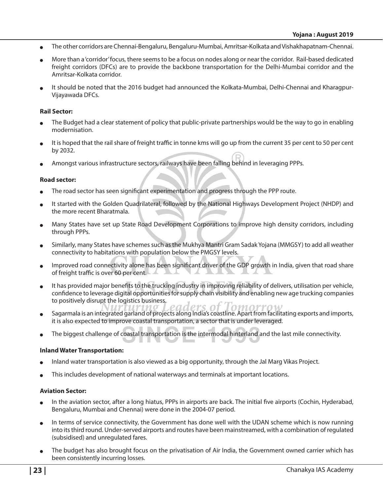- <sup>O</sup> The other corridors are Chennai-Bengaluru, Bengaluru-Mumbai, Amritsar-Kolkata and Vishakhapatnam-Chennai.
- More than a 'corridor' focus, there seems to be a focus on nodes along or near the corridor. Rail-based dedicated freight corridors (DFCs) are to provide the backbone transportation for the Delhi-Mumbai corridor and the Amritsar-Kolkata corridor.
- It should be noted that the 2016 budget had announced the Kolkata-Mumbai, Delhi-Chennai and Kharagpur-Vijayawada DFCs.

#### **Rail Sector:**

- The Budget had a clear statement of policy that public-private partnerships would be the way to go in enabling modernisation.
- It is hoped that the rail share of freight traffic in tonne kms will go up from the current 35 per cent to 50 per cent by 2032.
- Amongst various infrastructure sectors, railways have been falling behind in leveraging PPPs.

#### **Road sector:**

- The road sector has seen significant experimentation and progress through the PPP route.
- It started with the Golden Quadrilateral, followed by the National Highways Development Project (NHDP) and the more recent Bharatmala.
- Many States have set up State Road Development Corporations to improve high density corridors, including through PPPs.
- Similarly, many States have schemes such as the Mukhya Mantri Gram Sadak Yojana (MMGSY) to add all weather connectivity to habitations with population below the PMGSY levels.
- Improved road connectivity alone has been significant driver of the GDP growth in India, given that road share of freight traffic is over 60 per cent.
- It has provided major benefits to the trucking industry in improving reliability of delivers, utilisation per vehicle, confidence to leverage digital opportunities for supply chain visibility and enabling new age trucking companies to positively disrupt the logistics business.
- Sagarmala is an integrated garland of projects along India's coastline. Apart from facilitating exports and imports, it is also expected to improve coastal transportation, a sector that is under leveraged.
- The biggest challenge of coastal transportation is the intermodal hinterland and the last mile connectivity.

#### **Inland Water Transportation:**

- Inland water transportation is also viewed as a big opportunity, through the Jal Marg Vikas Project.
- This includes development of national waterways and terminals at important locations.

#### **Aviation Sector:**

- In the aviation sector, after a long hiatus, PPPs in airports are back. The initial five airports (Cochin, Hyderabad, Bengaluru, Mumbai and Chennai) were done in the 2004-07 period.
- In terms of service connectivity, the Government has done well with the UDAN scheme which is now running into its third round. Under-served airports and routes have been mainstreamed, with a combination of regulated (subsidised) and unregulated fares.
- The budget has also brought focus on the privatisation of Air India, the Government owned carrier which has been consistently incurring losses.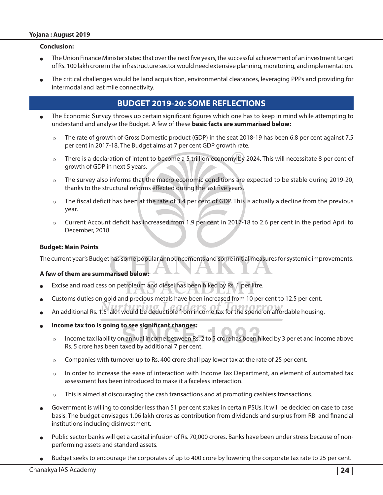#### **Conclusion:**

- The Union Finance Minister stated that over the next five years, the successful achievement of an investment target of Rs. 100 lakh crore in the infrastructure sector would need extensive planning, monitoring, and implementation.
- The critical challenges would be land acquisition, environmental clearances, leveraging PPPs and providing for intermodal and last mile connectivity.

## **BUDGET 2019-20: SOME REFLECTIONS**

- The Economic Survey throws up certain significant figures which one has to keep in mind while attempting to understand and analyse the Budget. A few of these **basic facts are summarised below:**
	- $\circ$  The rate of growth of Gross Domestic product (GDP) in the seat 2018-19 has been 6.8 per cent against 7.5 per cent in 2017-18. The Budget aims at 7 per cent GDP growth rate.
	- $\circ$  There is a declaration of intent to become a 5 trillion economy by 2024. This will necessitate 8 per cent of growth of GDP in next 5 years.
	- $\circ$  The survey also informs that the macro economic conditions are expected to be stable during 2019-20, thanks to the structural reforms effected during the last five years.
	- $\circ$  The fiscal deficit has been at the rate of 3.4 per cent of GDP. This is actually a decline from the previous year.
	- $\circ$  Current Account deficit has increased from 1.9 per cent in 2017-18 to 2.6 per cent in the period April to December, 2018.

#### **Budget: Main Points**

The current year's Budget has some popular announcements and some initial measures for systemic improvements.

#### **A few of them are summarised below:**

- Excise and road cess on petroleum and diesel has been hiked by Rs. 1 per litre.
- Customs duties on gold and precious metals have been increased from 10 per cent to 12.5 per cent.
- An additional Rs. 1.5 lakh would be deductible from income tax for the spend on affordable housing.
- Income tax too is going to see significant changes:
	- $\circ$  Income tax liability on annual income between Rs. 2 to 5 crore has been hiked by 3 per et and income above Rs. 5 crore has been taxed by additional 7 per cent.
	- $\circ$  Companies with turnover up to Rs. 400 crore shall pay lower tax at the rate of 25 per cent.
	- $\circ$  In order to increase the ease of interaction with Income Tax Department, an element of automated tax assessment has been introduced to make it a faceless interaction.
	- $\circ$  This is aimed at discouraging the cash transactions and at promoting cashless transactions.
- Government is willing to consider less than 51 per cent stakes in certain PSUs. It will be decided on case to case basis. The budget envisages 1.06 lakh crores as contribution from dividends and surplus from RBI and financial institutions including disinvestment.
- Public sector banks will get a capital infusion of Rs. 70,000 crores. Banks have been under stress because of nonperforming assets and standard assets.
- Budget seeks to encourage the corporates of up to 400 crore by lowering the corporate tax rate to 25 per cent.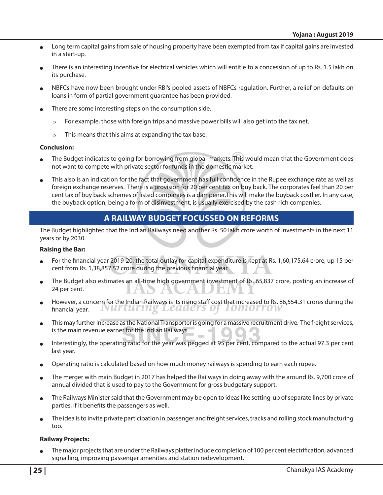- <sup>O</sup> Long term capital gains from sale of housing property have been exempted from tax if capital gains are invested in a start-up.
- There is an interesting incentive for electrical vehicles which will entitle to a concession of up to Rs. 1.5 lakh on its purchase.
- NBFCs have now been brought under RBI's pooled assets of NBFCs regulation. Further, a relief on defaults on loans in form of partial government guarantee has been provided.
- There are some interesting steps on the consumption side.
	- $\circ$  For example, those with foreign trips and massive power bills will also get into the tax net.
	- $\circ$  This means that this aims at expanding the tax base.

#### **Conclusion:**

- The Budget indicates to going for borrowing from global markets. This would mean that the Government does not want to compete with private sector for funds in the domestic market.
- This also is an indication for the fact that government has full confidence in the Rupee exchange rate as well as foreign exchange reserves. There is a provision for 20 per cent tax on buy back. The corporates feel than 20 per cent tax of buy back schemes of listed companies is a dampener.This will make the buyback costlier. In any case, the buyback option, being a form of disinvestment, is usually exercised by the cash rich companies.

## **A RAILWAY BUDGET FOCUSSED ON REFORMS**

The Budget highlighted that the Indian Railways need another Rs. 50 lakh crore worth of investments in the next 11 years or by 2030.

#### **Raising the Bar:**

- For the financial year 2019-20, the total outlay for capital expenditure is kept at Rs. 1,60,175.64 crore, up 15 per cent from Rs. 1,38,857.52 crore during the previous financial year.
- The Budget also estimates an all-time high government investment of Rs. 65,837 crore, posting an increase of 24 per cent.
- However, a concern for the Indian Railways is its rising staff cost that increased to Rs. 86,554.31 crores during the **Nurturing Leaders of Tomorrow** financial year.
- This may further increase as the National Transporter is going for a massive recruitment drive. The freight services, is the main revenue earner for the Indian Railways.
- Interestingly, the operating ratio for the year was pegged at 95 per cent, compared to the actual 97.3 per cent last year.
- Operating ratio is calculated based on how much money railways is spending to earn each rupee.
- <sup>O</sup> The merger with main Budget in 2017 has helped the Railways in doing away with the around Rs. 9,700 crore of annual divided that is used to pay to the Government for gross budgetary support.
- The Railways Minister said that the Government may be open to ideas like setting-up of separate lines by private parties, if it benefits the passengers as well.
- The idea is to invite private participation in passenger and freight services, tracks and rolling stock manufacturing too.

#### **Railway Projects:**

The major projects that are under the Railways platter include completion of 100 per cent electrification, advanced signalling, improving passenger amenities and station redevelopment.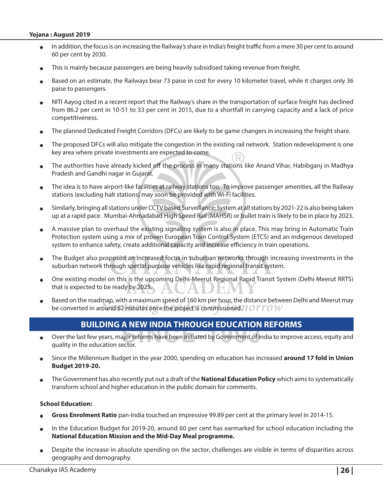- In addition, the focus is on increasing the Railway's share in India's freight traffic from a mere 30 per cent to around 60 per cent by 2030.
- This is mainly because passengers are being heavily subsidised taking revenue from freight.
- Based on an estimate, the Railways bear 73 paise in cost for every 10 kilometer travel, while it charges only 36 paise to passengers.
- <sup>O</sup> NITI Aayog cited in a recent report that the Railway's share in the transportation of surface freight has declined from 86.2 per cent in 10-51 to 33 per cent in 2015, due to a shortfall in carrying capacity and a lack of price competitiveness.
- The planned Dedicated Freight Corridors (DFCs) are likely to be game changers in increasing the freight share.
- The proposed DFCs will also mitigate the congestion in the existing rail network. Station redevelopment is one key area where private investments are expected to come.
- The authorities have already kicked off the process in many stations like Anand Vihar, Habibganj in Madhya Pradesh and Gandhi nagar in Gujarat.
- The idea is to have airport-like facilities at railway stations too. To improve passenger amenities, all the Railway stations (excluding halt stations) may soon be provided with Wi-Fi facilities.
- <sup>O</sup> Similarly, bringing all stations under CCTV based Surveillance; System at all stations by 2021-22 is also being taken up at a rapid pace. Mumbai-Ahmadabad High Speed Rail (MAHSR) or bullet train is likely to be in place by 2023.
- A massive plan to overhaul the existing signaling system is also in place. This may bring in Automatic Train Protection system using a mix of proven European Train Control System (ETCS) and an indigenous developed system to enhance safety, create additional capacity and increase efficiency in train operations.
- The Budget also proposed an increased focus in suburban networks through increasing investments in the suburban network through special purpose vehicles like rapid regional transit system.
- One existing model on this is the upcoming Delhi-Meerut Regional Rapid Transit System (Delhi Meerut RRTS) that is expected to be ready by 2025.
- Based on the roadmap, with a maximum speed of 160 km per hour, the distance between Delhi and Meerut may be converted in around 62 minutes once the project is commissioned. *All* O I'I'O W

## **BUILDING A NEW INDIA THROUGH EDUCATION REFORMS**

- Over the last few years, major reforms have been initiated by Government of India to improve access, equity and quality in the education sector.
- <sup>O</sup> Since the Millennium Budget in the year 2000, spending on education has increased **around 17 fold in Union Budget 2019-20.**
- <sup>O</sup> The Government has also recently put out a draft of the **National Education Policy** which aims to systematically transform school and higher education in the public domain for comments.

#### **School Education:**

- **Gross Enrolment Ratio** pan-India touched an impressive 99.89 per cent at the primary level in 2014-15.
- In the Education Budget for 2019-20, around 60 per cent has earmarked for school education including the **National Education Mission and the Mid-Day Meal programme.**
- <sup>O</sup> Despite the increase in absolute spending on the sector, challenges are visible in terms of disparities across geography and demography.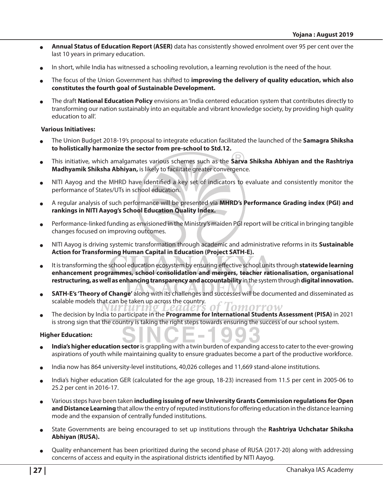- **Annual Status of Education Report (ASER)** data has consistently showed enrolment over 95 per cent over the last 10 years in primary education.
- In short, while India has witnessed a schooling revolution, a learning revolution is the need of the hour.
- <sup>O</sup> The focus of the Union Government has shifted to **improving the delivery of quality education, which also constitutes the fourth goal of Sustainable Development.**
- <sup>O</sup> The draft **National Education Policy** envisions an 'India centered education system that contributes directly to transforming our nation sustainably into an equitable and vibrant knowledge society, by providing high quality education to all'.

#### **Various Initiatives:**

- <sup>O</sup> The Union Budget 2018-19's proposal to integrate education facilitated the launched of the **Samagra Shiksha to holistically harmonize the sector from pre-school to Std.12.**
- <sup>O</sup> This initiative, which amalgamates various schemes such as the **Sarva Shiksha Abhiyan and the Rashtriya Madhyamik Shiksha Abhiyan,** is likely to facilitate greater convergence.
- NITI Aayog and the MHRD have identified a key set of indicators to evaluate and consistently monitor the performance of States/UTs in school education.
- <sup>O</sup> A regular analysis of such performance will be presented via **MHRD's Performance Grading index (PGI) and rankings in NITI Aayog's School Education Quality Index.**
- Performance-linked funding as envisioned in the Ministry's maiden PGI report will be critical in bringing tangible changes focused on improving outcomes.
- <sup>O</sup> NITI Aayog is driving systemic transformation through academic and administrative reforms in its **Sustainable Action for Transforming Human Capital in Education (Project SATH-E).**
- It is transforming the school education ecosystem by ensuring effective school units through statewide learning **enhancement programmes, school consolidation and mergers, teacher rationalisation, organisational restructuring, as well as enhancing transparency and accountability** in the system through **digital innovation.**
- <sup>O</sup> **SATH-E's 'Theory of Change'** along with its challenges and successes will be documented and disseminated as scalable models that can be taken up across the country. omorrow
- <sup>O</sup> The decision by India to participate in the **Programme for International Students Assessment (PISA)** in 2021 is strong sign that the country is taking the right steps towards ensuring the success of our school system.

#### **Higher Education:**

- India's higher education sector is grappling with a twin burden of expanding access to cater to the ever-growing aspirations of youth while maintaining quality to ensure graduates become a part of the productive workforce.
- India now has 864 university-level institutions, 40,026 colleges and 11,669 stand-alone institutions.
- <sup>O</sup> India's higher education GER (calculated for the age group, 18-23) increased from 11.5 per cent in 2005-06 to 25.2 per cent in 2016-17.
- <sup>O</sup> Various steps have been taken **including issuing of new University Grants Commission regulations for Open and Distance Learning** that allow the entry of reputed institutions for offering education in the distance learning mode and the expansion of centrally funded institutions.
- <sup>O</sup> State Governments are being encouraged to set up institutions through the **Rashtriya Uchchatar Shiksha Abhiyan (RUSA).**
- Quality enhancement has been prioritized during the second phase of RUSA (2017-20) along with addressing concerns of access and equity in the aspirational districts identified by NITI Aayog.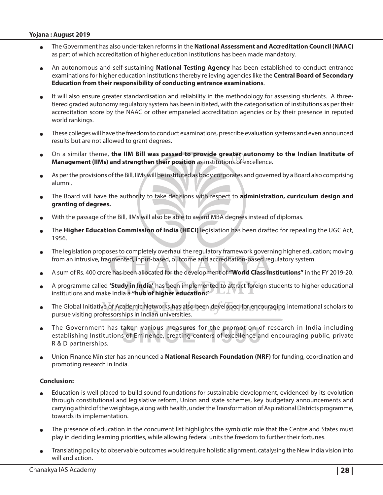- <sup>O</sup> The Government has also undertaken reforms in the **National Assessment and Accreditation Council (NAAC)**  as part of which accreditation of higher education institutions has been made mandatory.
- An autonomous and self-sustaining **National Testing Agency** has been established to conduct entrance examinations for higher education institutions thereby relieving agencies like the **Central Board of Secondary Education from their responsibility of conducting entrance examinations**.
- It will also ensure greater standardisation and reliability in the methodology for assessing students. A threetiered graded autonomy regulatory system has been initiated, with the categorisation of institutions as per their accreditation score by the NAAC or other empaneled accreditation agencies or by their presence in reputed world rankings.
- These colleges will have the freedom to conduct examinations, prescribe evaluation systems and even announced results but are not allowed to grant degrees.
- <sup>O</sup> On a similar theme, **the IIM Bill was passed to provide greater autonomy to the Indian Institute of Management (IIMs) and strengthen their position** as institutions of excellence.
- As per the provisions of the Bill, IIMs will be instituted as body corporates and governed by a Board also comprising alumni.
- The Board will have the authority to take decisions with respect to **administration, curriculum design and granting of degrees.**
- With the passage of the Bill, IIMs will also be able to award MBA degrees instead of diplomas.
- <sup>O</sup> The **Higher Education Commission of India (HECI)** legislation has been drafted for repealing the UGC Act, 1956.
- The legislation proposes to completely overhaul the regulatory framework governing higher education; moving from an intrusive, fragmented, input-based, outcome and accreditation-based regulatory system.
- <sup>O</sup> A sum of Rs. 400 crore has been allocated for the development of **"World Class Institutions"** in the FY 2019-20.
- <sup>O</sup> A programme called **'Study in India'** has been implemented to attract foreign students to higher educational institutions and make India a **"hub of higher education."**
- <sup>O</sup> The Global Initiative of Academic Networks has also been developed for encouraging international scholars to pursue visiting professorships in Indian universities.
- The Government has taken various measures for the promotion of research in India including establishing Institutions of Eminence, creating centers of excellence and encouraging public, private R & D partnerships.
- <sup>O</sup> Union Finance Minister has announced a **National Research Foundation (NRF)** for funding, coordination and promoting research in India.

#### **Conclusion:**

- Education is well placed to build sound foundations for sustainable development, evidenced by its evolution through constitutional and legislative reform, Union and state schemes, key budgetary announcements and carrying a third of the weightage, along with health, under the Transformation of Aspirational Districts programme, towards its implementation.
- The presence of education in the concurrent list highlights the symbiotic role that the Centre and States must play in deciding learning priorities, while allowing federal units the freedom to further their fortunes.
- Translating policy to observable outcomes would require holistic alignment, catalysing the New India vision into will and action.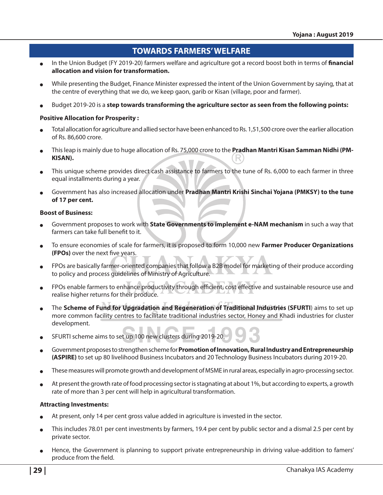## **TOWARDS FARMERS' WELFARE**

- <sup>O</sup> In the Union Budget (FY 2019-20) farmers welfare and agriculture got a record boost both in terms of **financial allocation and vision for transformation.**
- While presenting the Budget, Finance Minister expressed the intent of the Union Government by saying, that at the centre of everything that we do, we keep gaon, garib or Kisan (village, poor and farmer).
- Budget 2019-20 is a step towards transforming the agriculture sector as seen from the following points:

#### **Positive Allocation for Prosperity :**

- Total allocation for agriculture and allied sector have been enhanced to Rs. 1,51,500 crore over the earlier allocation of Rs. 86,600 crore.
- This leap is mainly due to huge allocation of Rs. 75,000 crore to the **Pradhan Mantri Kisan Samman Nidhi (PM-KISAN).**
- This unique scheme provides direct cash assistance to farmers to the tune of Rs. 6,000 to each farmer in three equal installments during a year.
- <sup>O</sup> Government has also increased allocation under **Pradhan Mantri Krishi Sinchai Yojana (PMKSY) to the tune of 17 per cent.**

#### **Boost of Business:**

- <sup>O</sup> Government proposes to work with **State Governments to implement e-NAM mechanism** in such a way that farmers can take full benefit to it.
- <sup>O</sup> To ensure economies of scale for farmers, it is proposed to form 10,000 new **Farmer Producer Organizations (FPOs)** over the next five years.
- <sup>O</sup> FPOs are basically farmer-oriented companies that follow a B2B model for marketing of their produce according to policy and process guidelines of Ministry of Agriculture.
- <sup>O</sup> FPOs enable farmers to enhance productivity through efficient, cost effective and sustainable resource use and realise higher returns for their produce.
- The **Scheme of Fund for Upgradation and Regeneration of Traditional Industries (SFURTI**) aims to set up more common facility centres to facilitate traditional industries sector, Honey and Khadi industries for cluster development.
- <sup>O</sup> SFURTI scheme aims to set up 100 new clusters during 2019-20.
- <sup>O</sup> Government proposes to strengthen scheme for **Promotion of Innovation, Rural Industry and Entrepreneurship (ASPIRE)** to set up 80 livelihood Business Incubators and 20 Technology Business Incubators during 2019-20.
- These measures will promote growth and development of MSME in rural areas, especially in agro-processing sector.
- At present the growth rate of food processing sector is stagnating at about 1%, but according to experts, a growth rate of more than 3 per cent will help in agricultural transformation.

#### **Attracting Investments:**

- At present, only 14 per cent gross value added in agriculture is invested in the sector.
- This includes 78.01 per cent investments by farmers, 19.4 per cent by public sector and a dismal 2.5 per cent by private sector.
- Hence, the Government is planning to support private entrepreneurship in driving value-addition to famers' produce from the field.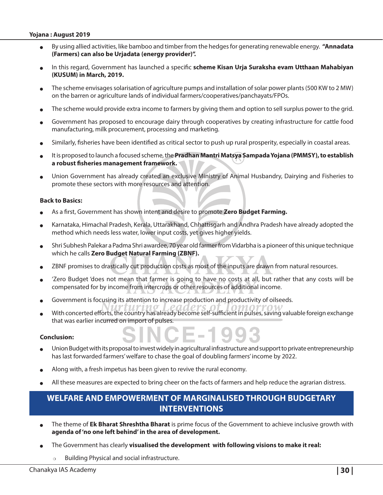- By using allied activities, like bamboo and timber from the hedges for generating renewable energy. **"Annadata (Farmers) can also be Urjadata (energy provider)".**
- In this regard, Government has launched a specific **scheme Kisan Urja Suraksha evam Utthaan Mahabiyan (KUSUM) in March, 2019.**
- <sup>O</sup> The scheme envisages solarisation of agriculture pumps and installation of solar power plants (500 KW to 2 MW) on the barren or agriculture lands of individual farmers/cooperatives/panchayats/FPOs.
- The scheme would provide extra income to farmers by giving them and option to sell surplus power to the grid.
- Government has proposed to encourage dairy through cooperatives by creating infrastructure for cattle food manufacturing, milk procurement, processing and marketing.
- Similarly, fisheries have been identified as critical sector to push up rural prosperity, especially in coastal areas.
- <sup>O</sup> It is proposed to launch a focused scheme, the **Pradhan Mantri Matsya Sampada Yojana (PMMSY), to establish a robust fisheries management framework.**
- <sup>O</sup> Union Government has already created an exclusive Ministry of Animal Husbandry, Dairying and Fisheries to promote these sectors with more resources and attention.

#### **Back to Basics:**

- As a first, Government has shown intent and desire to promote Zero Budget Farming.
- Karnataka, Himachal Pradesh, Kerala, Uttarakhand, Chhattisgarh and Andhra Pradesh have already adopted the method which needs less water, lower input costs, yet gives higher yields.
- <sup>O</sup> Shri Subhesh Palekar a Padma Shri awardee, 70 year old farmer from Vidarbha is a pioneer of this unique technique which he calls **Zero Budget Natural Farming (ZBNF).**
- ZBNF promises to drastically cut production costs as most of the inputs are drawn from natural resources.
- 'Zero Budget 'does not mean that farmer is going to have no costs at all, but rather that any costs will be compensated for by income from intercrops or other resources of additional income.
- Government is focusing its attention to increase production and productivity of oilseeds.
- <sup>O</sup> With concerted efforts, the country has already become self-sufficient in pulses, saving valuable foreign exchange that was earlier incurred on import of pulses.

 $|-199$ 

#### **Conclusion:**

- <sup>O</sup> Union Budget with its proposal to invest widely in agricultural infrastructure and support to private entrepreneurship has last forwarded farmers' welfare to chase the goal of doubling farmers' income by 2022.
- Along with, a fresh impetus has been given to revive the rural economy.
- All these measures are expected to bring cheer on the facts of farmers and help reduce the agrarian distress.

## **WELFARE AND EMPOWERMENT OF MARGINALISED THROUGH BUDGETARY INTERVENTIONS**

- The theme of **Ek Bharat Shreshtha Bharat** is prime focus of the Government to achieve inclusive growth with **agenda of 'no one left behind' in the area of development.**
- <sup>O</sup> The Government has clearly **visualised the development with following visions to make it real:**
	- Building Physical and social infrastructure.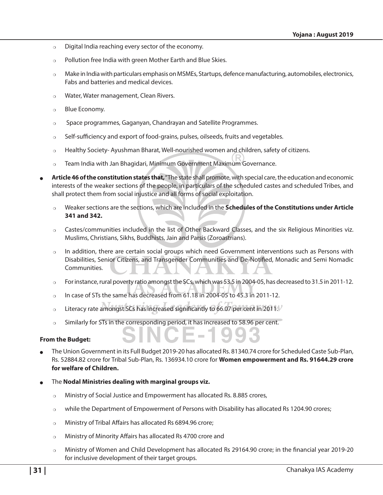- $\circ$  Digital India reaching every sector of the economy.
- $\circ$  Pollution free India with green Mother Earth and Blue Skies.
- $\circ$  Make in India with particulars emphasis on MSMEs, Startups, defence manufacturing, automobiles, electronics, Fabs and batteries and medical devices.
- $\circ$  Water, Water management, Clean Rivers.
- o Blue Economy.
- $\circ$  Space programmes, Gaganyan, Chandrayan and Satellite Programmes.
- $\circ$  Self-sufficiency and export of food-grains, pulses, oilseeds, fruits and vegetables.
- $\circ$  Healthy Society- Ayushman Bharat, Well-nourished women and children, safety of citizens.
- $\circ$  Team India with Jan Bhagidari, Minimum Government Maximum Governance.
- Article 46 of the constitution states that, "The state shall promote, with special care, the education and economic interests of the weaker sections of the people, in particulars of the scheduled castes and scheduled Tribes, and shall protect them from social injustice and all forms of social exploitation.
	- <sup>P</sup> Weaker sections are the sections, which are included in the **Schedules of the Constitutions under Article 341 and 342.**
	- $\circ$  Castes/communities included in the list of Other Backward Classes, and the six Religious Minorities viz. Muslims, Christians, Sikhs, Buddhists, Jain and Parsis (Zoroastrians).
	- $\circ$  In addition, there are certain social groups which need Government interventions such as Persons with Disabilities, Senior Citizens, and Transgender Communities and De-Notified, Monadic and Semi Nomadic Communities.
	- $\circ$  For instance, rural poverty ratio amongst the SCs, which was 53.5 in 2004-05, has decreased to 31.5 in 2011-12.
	- $\circ$  In case of STs the same has decreased from 61.18 in 2004-05 to 45.3 in 2011-12.
	- $\circ$  Literacy rate amongst SCs has increased significantly to 66.07 per cent in 2011.
	- Similarly for STs in the corresponding period, it has increased to 58.96 per cent.

#### **From the Budget:**

The Union Government in its Full Budget 2019-20 has allocated Rs. 81340.74 crore for Scheduled Caste Sub-Plan, Rs. 52884.82 crore for Tribal Sub-Plan, Rs. 136934.10 crore for **Women empowerment and Rs. 91644.29 crore for welfare of Children.** 

 $\sim$ 

- The **Nodal Ministries dealing with marginal groups viz.** 
	- $\circ$  Ministry of Social Justice and Empowerment has allocated Rs. 8.885 crores,
	- $\circ$  while the Department of Empowerment of Persons with Disability has allocated Rs 1204.90 crores;
	- $\circ$  Ministry of Tribal Affairs has allocated Rs 6894.96 crore;
	- $\circ$  Ministry of Minority Affairs has allocated Rs 4700 crore and
	- $\circ$  Ministry of Women and Child Development has allocated Rs 29164.90 crore; in the financial year 2019-20 for inclusive development of their target groups.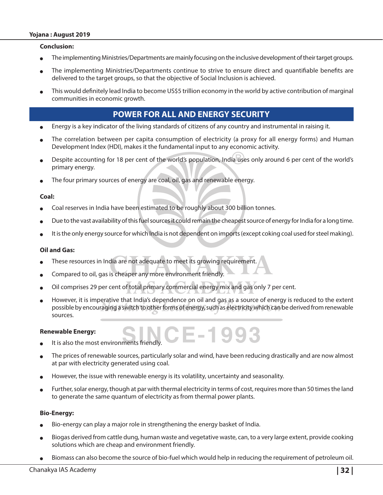#### **Conclusion:**

- The implementing Ministries/Departments are mainly focusing on the inclusive development of their target groups.
- The implementing Ministries/Departments continue to strive to ensure direct and quantifiable benefits are delivered to the target groups, so that the objective of Social Inclusion is achieved.
- This would definitely lead India to become US\$5 trillion economy in the world by active contribution of marginal communities in economic growth.

## **POWER FOR ALL AND ENERGY SECURITY**

- Energy is a key indicator of the living standards of citizens of any country and instrumental in raising it.
- The correlation between per capita consumption of electricity (a proxy for all energy forms) and Human Development Index (HDI), makes it the fundamental input to any economic activity.
- <sup>O</sup> Despite accounting for 18 per cent of the world's population, India uses only around 6 per cent of the world's primary energy.
- The four primary sources of energy are coal, oil, gas and renewable energy.

#### **Coal:**

- Coal reserves in India have been estimated to be roughly about 300 billion tonnes.
- Due to the vast availability of this fuel sources it could remain the cheapest source of energy for India for a long time.
- It is the only energy source for which India is not dependent on imports (except coking coal used for steel making).

#### **Oil and Gas:**

- These resources in India are not adequate to meet its growing requirement.
- Compared to oil, gas is cheaper any more environment friendly.
- Oil comprises 29 per cent of total primary commercial energy mix and gas only 7 per cent.
- However, it is imperative that India's dependence on oil and gas as a source of energy is reduced to the extent possible by encouraging a switch to other forms of energy, such as electricity which can be derived from renewable sources.

#### **Renewable Energy:**

- It is also the most environments friendly.
- The prices of renewable sources, particularly solar and wind, have been reducing drastically and are now almost at par with electricity generated using coal.

**CE-1993** 

- However, the issue with renewable energy is its volatility, uncertainty and seasonality.
- Further, solar energy, though at par with thermal electricity in terms of cost, requires more than 50 times the land to generate the same quantum of electricity as from thermal power plants.

#### **Bio-Energy:**

- Bio-energy can play a major role in strengthening the energy basket of India.
- Biogas derived from cattle dung, human waste and vegetative waste, can, to a very large extent, provide cooking solutions which are cheap and environment friendly.
- Biomass can also become the source of bio-fuel which would help in reducing the requirement of petroleum oil.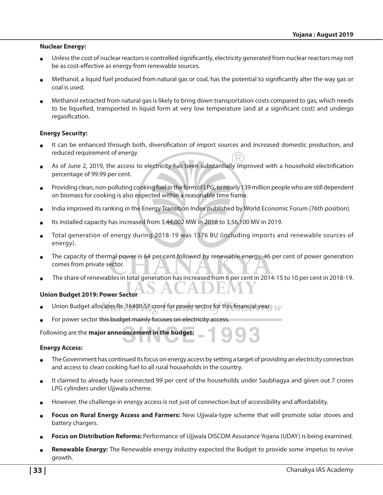#### **Nuclear Energy:**

- Unless the cost of nuclear reactors is controlled significantly, electricity generated from nuclear reactors may not be as cost-effective as energy from renewable sources.
- Methanol, a liquid fuel produced from natural gas or coal, has the potential to significantly alter the way gas or coal is used.
- Methanol extracted from natural gas is likely to bring down transportation costs compared to gas, which needs to be liquefied, transported in liquid form at very low temperature (and at a significant cost) and undergo regasification.

#### **Energy Security:**

- It can be enhanced through both, diversification of import sources and increased domestic production, and reduced requirement of energy.
- As of June 2, 2019, the access to electricity has been substantially improved with a household electrification percentage of 99.99 per cent.
- Providing clean, non-polluting cooking fuel in the form of LPG, to nearly 139 million people who are still dependent on biomass for cooking is also expected within a reasonable time frame.
- India improved its ranking in the Energy Transition Index published by World Economic Forum (76th position).
- Its installed capacity has increased from 3,44,002 MW in 2018 to 3,56,100 MV in 2019.
- Total generation of energy during 2018-19 was 1376 BU (including imports and renewable sources of energy).
- The capacity of thermal power is 64 per cent followed by renewable energy. 46 per cent of power generation comes from private sector.
- The share of renewables in total generation has increased from 6 per cent in 2014-15 to 10 per cent in 2018-19.

#### **Union Budget 2019: Power Sector**

- Union Budget allocates Rs. 16400.57 crore for power sector for this financial year.  $\sqrt{U}$
- For power sector this budget mainly focuses on electricity access.

Following are the **major announcement in the budget:**

#### **Energy Access:**

- The Government has continued its focus on energy access by setting a target of providing an electricity connection and access to clean cooking fuel to all rural households in the country.
- It claimed to already have connected 99 per cent of the households under Saubhagya and given out 7 crores LPG cylinders under Ujjwala scheme.
- However, the challenge in energy access is not just of connection but of accessibility and affordability.
- Focus on Rural Energy Access and Farmers: New Ujjwala-type scheme that will promote solar stoves and battery chargers.
- Focus on Distribution Reforms: Performance of Ujjwala DISCOM Assurance Yojana (UDAY) is being examined.
- Renewable Energy: The Renewable energy industry expected the Budget to provide some impetus to revive growth.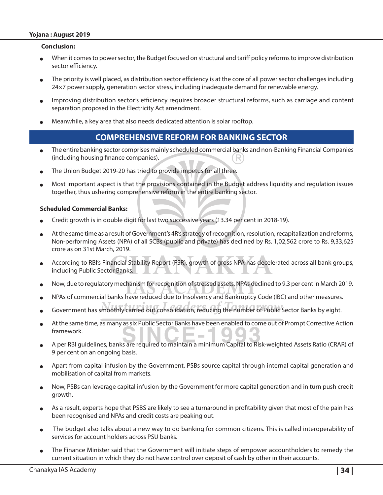#### **Conclusion:**

- When it comes to power sector, the Budget focused on structural and tariff policy reforms to improve distribution sector efficiency.
- The priority is well placed, as distribution sector efficiency is at the core of all power sector challenges including 24×7 power supply, generation sector stress, including inadequate demand for renewable energy.
- Improving distribution sector's efficiency requires broader structural reforms, such as carriage and content separation proposed in the Electricity Act amendment.
- Meanwhile, a key area that also needs dedicated attention is solar rooftop.

#### **COMPREHENSIVE REFORM FOR BANKING SECTOR**

- The entire banking sector comprises mainly scheduled commercial banks and non-Banking Financial Companies (including housing finance companies).
- The Union Budget 2019-20 has tried to provide impetus for all three.
- Most important aspect is that the provisions contained in the Budget address liquidity and regulation issues together, thus ushering comprehensive reform in the entire banking sector.

#### **Scheduled Commercial Banks:**

- Credit growth is in double digit for last two successive years (13.34 per cent in 2018-19).
- At the same time as a result of Government's 4R's strategy of recognition, resolution, recapitalization and reforms, Non-performing Assets (NPA) of all SCBs (public and private) has declined by Rs. 1,02,562 crore to Rs. 9,33,625 crore as on 31st March, 2019.
- According to RBI's Financial Stability Report (FSR), growth of gross NPA has decelerated across all bank groups, including Public Sector Banks.
- Now, due to regulatory mechanism for recognition of stressed assets, NPAs declined to 9.3 per cent in March 2019.
- NPAs of commercial banks have reduced due to Insolvency and Bankruptcy Code (IBC) and other measures.
- Government has smoothly carried out consolidation, reducing the number of Public Sector Banks by eight.
- At the same time, as many as six Public Sector Banks have been enabled to come out of Prompt Corrective Action framework.
- A per RBI guidelines, banks are required to maintain a minimum Capital to Risk-weighted Assets Ratio (CRAR) of 9 per cent on an ongoing basis.
- Apart from capital infusion by the Government, PSBs source capital through internal capital generation and mobilisation of capital from markets.
- Now, PSBs can leverage capital infusion by the Government for more capital generation and in turn push credit growth.
- As a result, experts hope that PSBS are likely to see a turnaround in profitability given that most of the pain has been recognised and NPAs and credit costs are peaking out.
- The budget also talks about a new way to do banking for common citizens. This is called interoperability of services for account holders across PSU banks.
- The Finance Minister said that the Government will initiate steps of empower accountholders to remedy the current situation in which they do not have control over deposit of cash by other in their accounts.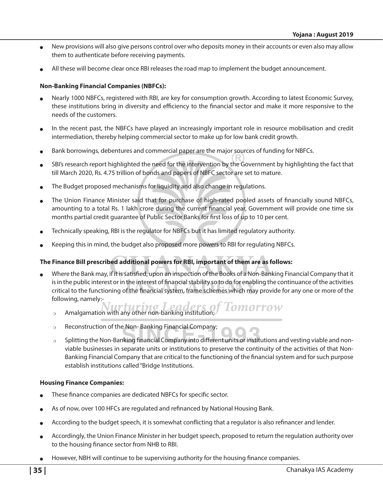- New provisions will also give persons control over who deposits money in their accounts or even also may allow them to authenticate before receiving payments.
- All these will become clear once RBI releases the road map to implement the budget announcement.

#### **Non-Banking Financial Companies (NBFCs):**

- Nearly 1000 NBFCs, registered with RBI, are key for consumption growth. According to latest Economic Survey, these institutions bring in diversity and efficiency to the financial sector and make it more responsive to the needs of the customers.
- In the recent past, the NBFCs have played an increasingly important role in resource mobilisation and credit intermediation, thereby helping commercial sector to make up for low bank credit growth.
- Bank borrowings, debentures and commercial paper are the major sources of funding for NBFCs.
- SBI's research report highlighted the need for the intervention by the Government by highlighting the fact that till March 2020, Rs. 4.75 trillion of bonds and papers of NBFC sector are set to mature.
- The Budget proposed mechanisms for liquidity and also change in regulations.
- The Union Finance Minister said that for purchase of high-rated pooled assets of financially sound NBFCs, amounting to a total Rs. 1 lakh crore during the current financial year, Government will provide one time six months partial credit guarantee of Public Sector Banks for first loss of up to 10 per cent.
- Technically speaking, RBI is the regulator for NBFCs but it has limited regulatory authority.
- Keeping this in mind, the budget also proposed more powers to RBI for regulating NBFCs.

#### **The Finance Bill prescribed additional powers for RBI, important of them are as follows:**

- <sup>O</sup> Where the Bank may, if it is satisfied, upon an inspection of the Books of a Non-Banking Financial Company that it is in the public interest or in the interest of financial stability so to do for enabling the continuance of the activities critical to the functioning of the financial system, frame schemes which may provide for any one or more of the following, namely:
	- o Amalgamation with any other non-banking institution; **Tomorrow**
	- $\circ$  Reconstruction of the Non-Banking Financial Company;
	- o Splitting the Non-Banking financial Company into different units or institutions and vesting viable and nonviable businesses in separate units or institutions to preserve the continuity of the activities of that Non-Banking Financial Company that are critical to the functioning of the financial system and for such purpose establish institutions called "Bridge Institutions.

#### **Housing Finance Companies:**

- These finance companies are dedicated NBFCs for specific sector.
- As of now, over 100 HFCs are regulated and refinanced by National Housing Bank.
- According to the budget speech, it is somewhat conflicting that a regulator is also refinancer and lender.
- Accordingly, the Union Finance Minister in her budget speech, proposed to return the regulation authority over to the housing finance sector from NHB to RBI.
- $\bullet$  However, NBH will continue to be supervising authority for the housing finance companies.